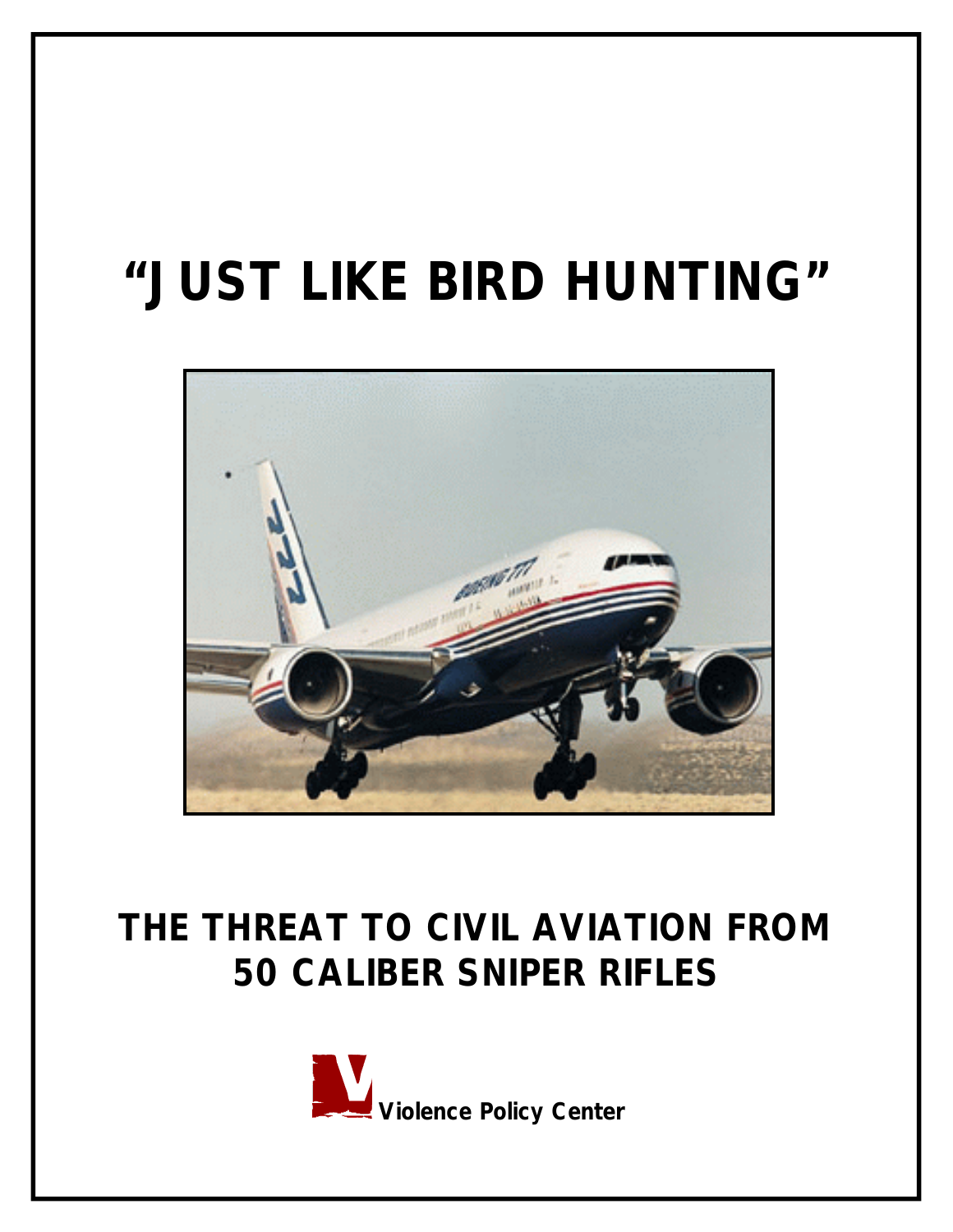# **"JUST LIKE BIRD HUNTING"**



# **THE THREAT TO CIVIL AVIATION FROM 50 CALIBER SNIPER RIFLES**

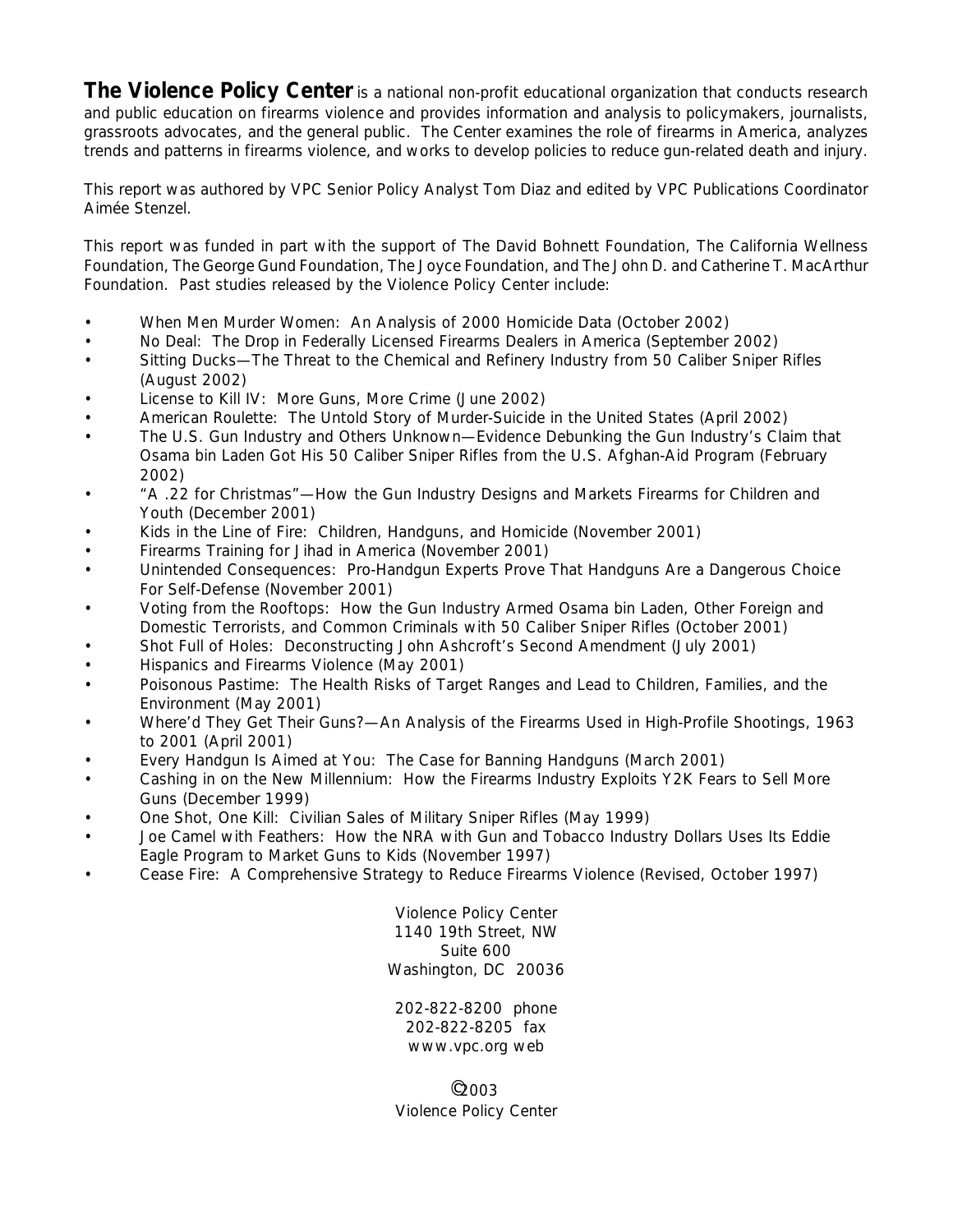The Violence Policy Center is a national non-profit educational organization that conducts research and public education on firearms violence and provides information and analysis to policymakers, journalists, grassroots advocates, and the general public. The Center examines the role of firearms in America, analyzes trends and patterns in firearms violence, and works to develop policies to reduce gun-related death and injury.

This report was authored by VPC Senior Policy Analyst Tom Diaz and edited by VPC Publications Coordinator Aimée Stenzel.

This report was funded in part with the support of The David Bohnett Foundation, The California Wellness Foundation, The George Gund Foundation, The Joyce Foundation, and The John D. and Catherine T. MacArthur Foundation. Past studies released by the Violence Policy Center include:

- *When Men Murder Women: An Analysis of 2000 Homicide Data* (October 2002)
- *No Deal: The Drop in Federally Licensed Firearms Dealers in America (September 2002)*
- *Sitting Ducks—The Threat to the Chemical and Refinery Industry from 50 Caliber Sniper Rifles* (August 2002)
- *License to Kill IV: More Guns, More Crime* (June 2002)
- *American Roulette: The Untold Story of Murder-Suicide in the United States* (April 2002)
- *The U.S. Gun Industry and Others Unknown—Evidence Debunking the Gun Industry's Claim that Osama bin Laden Got His 50 Caliber Sniper Rifles from the U.S. Afghan-Aid Program* (February 2002)
- *"A .22 for Christmas"—How the Gun Industry Designs and Markets Firearms for Children and Youth* (December 2001)
- *Kids in the Line of Fire: Children, Handguns, and Homicide* (November 2001)
- *Firearms Training for Jihad in America* (November 2001)
- *Unintended Consequences: Pro-Handgun Experts Prove That Handguns Are a Dangerous Choice For Self-Defense* (November 2001)
- *Voting from the Rooftops: How the Gun Industry Armed Osama bin Laden, Other Foreign and Domestic Terrorists, and Common Criminals with 50 Caliber Sniper Rifles* (October 2001)
- *Shot Full of Holes: Deconstructing John Ashcroft's Second Amendment* (July 2001)
- *Hispanics and Firearms Violence* (May 2001)
- *Poisonous Pastime: The Health Risks of Target Ranges and Lead to Children, Families, and the Environment* (May 2001)
- *Where'd They Get Their Guns?—An Analysis of the Firearms Used in High-Profile Shootings, 1963 to 2001* (April 2001)
- *Every Handgun Is Aimed at You: The Case for Banning Handguns* (March 2001)
- *Cashing in on the New Millennium: How the Firearms Industry Exploits Y2K Fears to Sell More Guns* (December 1999)
- *One Shot, One Kill: Civilian Sales of Military Sniper Rifles* (May 1999)
- *Joe Camel with Feathers: How the NRA with Gun and Tobacco Industry Dollars Uses Its Eddie Eagle Program to Market Guns to Kids* (November 1997)
- *Cease Fire: A Comprehensive Strategy to Reduce Firearms Violence* (Revised, October 1997)

Violence Policy Center 1140 19th Street, NW Suite 600 Washington, DC 20036

202-822-8200 phone 202-822-8205 fax www.vpc.org web

 $^{\circ}$ 2003 Violence Policy Center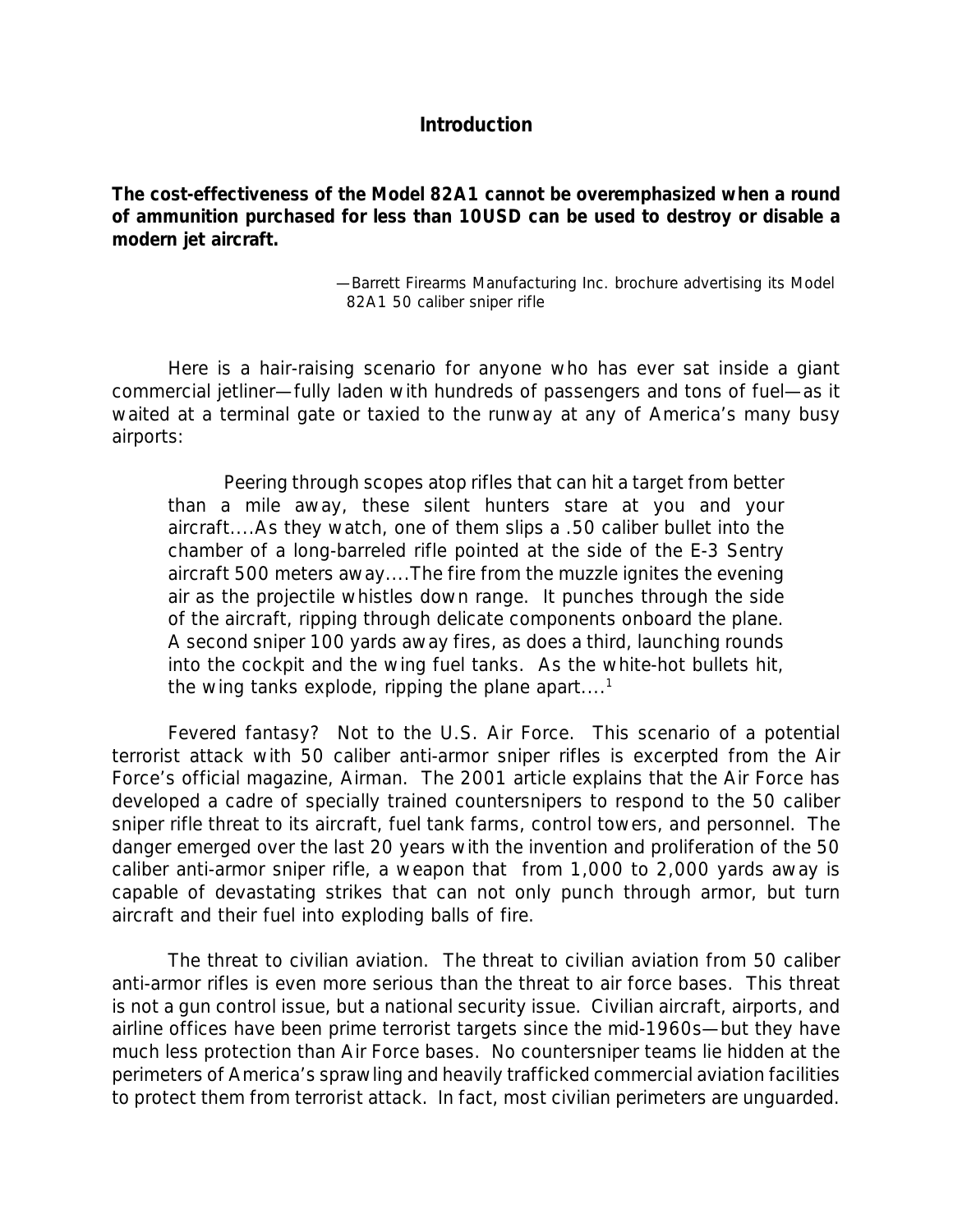## *Introduction*

*The cost-effectiveness of the Model 82A1 cannot be overemphasized when a round of ammunition purchased for less than 10USD can be used to destroy or disable a modern jet aircraft.*

> —Barrett Firearms Manufacturing Inc. brochure advertising its Model 82A1 50 caliber sniper rifle

Here is a hair-raising scenario for anyone who has ever sat inside a giant commercial jetliner—fully laden with hundreds of passengers and tons of fuel—as it waited at a terminal gate or taxied to the runway at any of America's many busy airports:

Peering through scopes atop rifles that can hit a target from better than a mile away, these silent hunters stare at you and your aircraft....As they watch, one of them slips a .50 caliber bullet into the chamber of a long-barreled rifle pointed at the side of the E-3 Sentry aircraft 500 meters away....The fire from the muzzle ignites the evening air as the projectile whistles down range. It punches through the side of the aircraft, ripping through delicate components onboard the plane. A second sniper 100 yards away fires, as does a third, launching rounds into the cockpit and the wing fuel tanks. As the white-hot bullets hit, the wing tanks explode, ripping the plane apart....<sup>1</sup>

Fevered fantasy? Not to the U.S. Air Force. This scenario of a potential terrorist attack with 50 caliber anti-armor sniper rifles is excerpted from the Air Force's official magazine, *Airman.* The 2001 article explains that the Air Force has developed a cadre of specially trained countersnipers to respond to the 50 caliber sniper rifle threat to its aircraft, fuel tank farms, control towers, and personnel. The danger emerged over the last 20 years with the invention and proliferation of the 50 caliber anti-armor sniper rifle, a weapon that from 1,000 to 2,000 yards away is capable of devastating strikes that can not only punch through armor, but turn aircraft and their fuel into exploding balls of fire.

*The threat to civilian aviation*. The threat to civilian aviation from 50 caliber anti-armor rifles is even more serious than the threat to air force bases. This threat is not a gun control issue, but a national security issue. Civilian aircraft, airports, and airline offices have been prime terrorist targets since the mid-1960s—but they have much less protection than Air Force bases. No countersniper teams lie hidden at the perimeters of America's sprawling and heavily trafficked commercial aviation facilities to protect them from terrorist attack. In fact, most civilian perimeters are unguarded.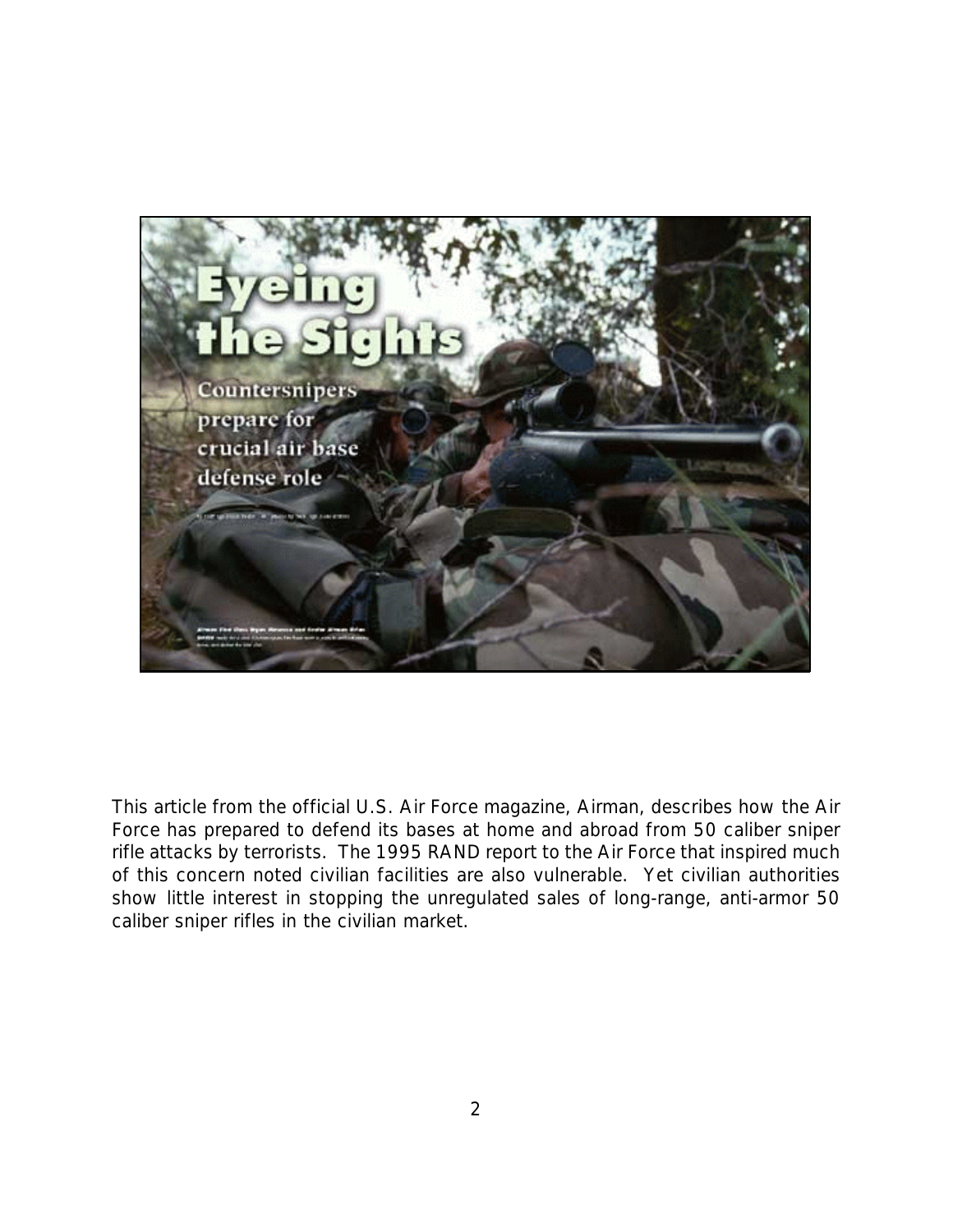

This article from the official U.S. Air Force magazine, *Airman*, describes how the Air Force has prepared to defend its bases at home and abroad from 50 caliber sniper rifle attacks by terrorists. The 1995 RAND report to the Air Force that inspired much of this concern noted civilian facilities are also vulnerable. Yet civilian authorities show little interest in stopping the unregulated sales of long-range, anti-armor 50 caliber sniper rifles in the civilian market.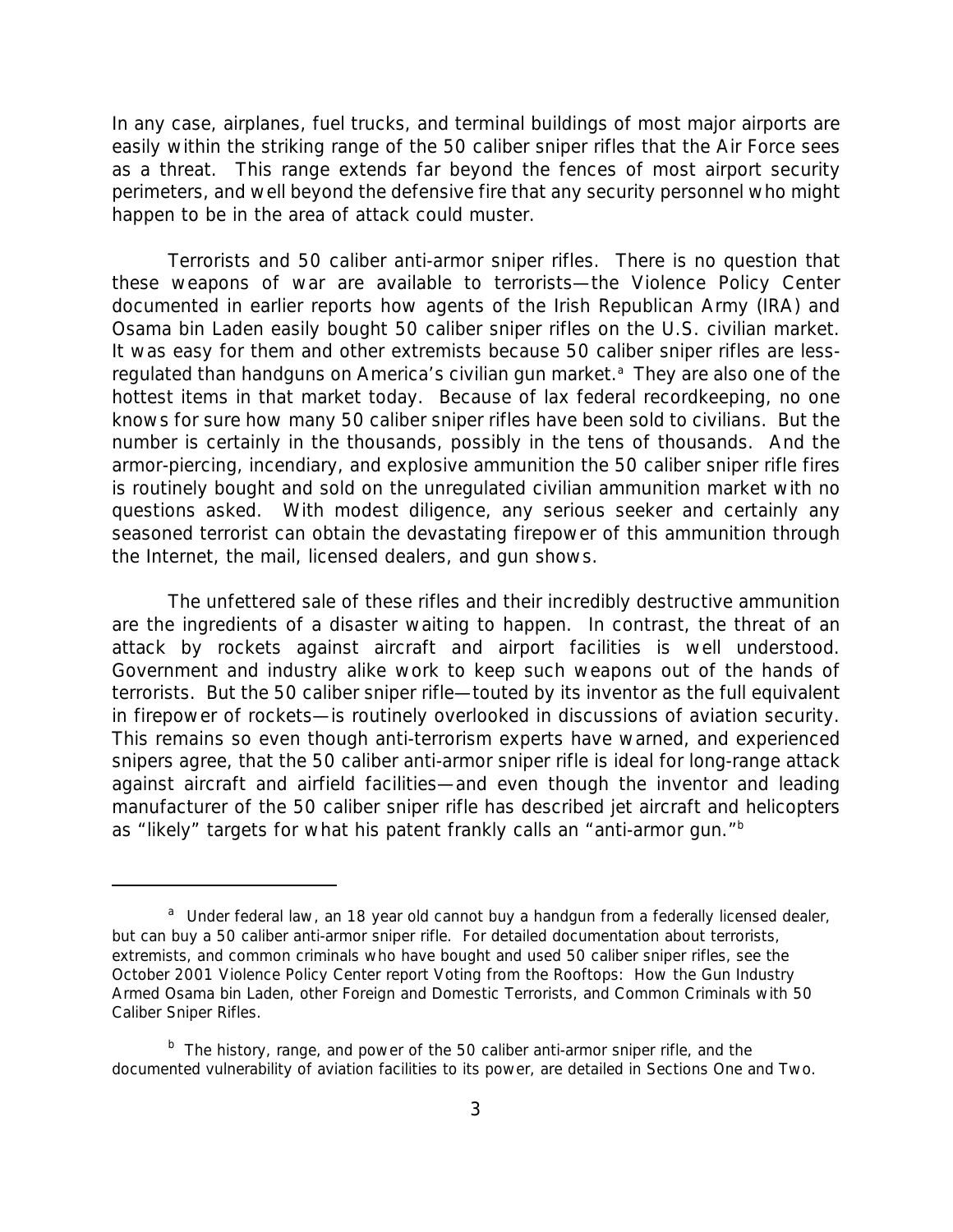In any case, airplanes, fuel trucks, and terminal buildings of most major airports are easily within the striking range of the 50 caliber sniper rifles that the Air Force sees as a threat. This range extends far beyond the fences of most airport security perimeters, and well beyond the defensive fire that any security personnel who might happen to be in the area of attack could muster.

*Terrorists and 50 caliber anti-armor sniper rifles.* There is no question that these weapons of war are available to terrorists—the Violence Policy Center documented in earlier reports how agents of the Irish Republican Army (IRA) and Osama bin Laden easily bought 50 caliber sniper rifles on the U.S. civilian market. It was easy for them and other extremists because 50 caliber sniper rifles are lessregulated than handguns on America's civilian gun market.<sup>a</sup> They are also one of the hottest items in that market today. Because of lax federal recordkeeping, no one knows for sure how many 50 caliber sniper rifles have been sold to civilians. But the number is certainly in the thousands, possibly in the tens of thousands. And the armor-piercing, incendiary, and explosive ammunition the 50 caliber sniper rifle fires is routinely bought and sold on the unregulated civilian ammunition market with no questions asked. With modest diligence, any serious seeker and certainly any seasoned terrorist can obtain the devastating firepower of this ammunition through the Internet, the mail, licensed dealers, and gun shows.

The unfettered sale of these rifles and their incredibly destructive ammunition are the ingredients of a disaster waiting to happen. In contrast, the threat of an attack by rockets against aircraft and airport facilities is well understood. Government and industry alike work to keep such weapons out of the hands of terrorists. But the 50 caliber sniper rifle—touted by its inventor as the full equivalent in firepower of rockets—is routinely overlooked in discussions of aviation security. This remains so *even though anti-terrorism experts have warned, and experienced snipers agree, that the 50 caliber anti-armor sniper rifle is ideal for long-range attack against aircraft and airfield facilities—and even though the inventor and leading manufacturer of the 50 caliber sniper rifle has described jet aircraft and helicopters as "likely" targets for what his patent frankly calls an "anti-armor gun."*b

<sup>&</sup>lt;sup>a</sup> Under federal law, an 18 year old cannot buy a handgun from a federally licensed dealer, but *can* buy a 50 caliber anti-armor sniper rifle. For detailed documentation about terrorists, extremists, and common criminals who have bought and used 50 caliber sniper rifles, see the October 2001 Violence Policy Center report *Voting from the Rooftops: How the Gun Industry Armed Osama bin Laden, other Foreign and Domestic Terrorists, and Common Criminals with 50 Caliber Sniper Rifles*.

<sup>&</sup>lt;sup>b</sup> The history, range, and power of the 50 caliber anti-armor sniper rifle, and the documented vulnerability of aviation facilities to its power, are detailed in Sections One and Two.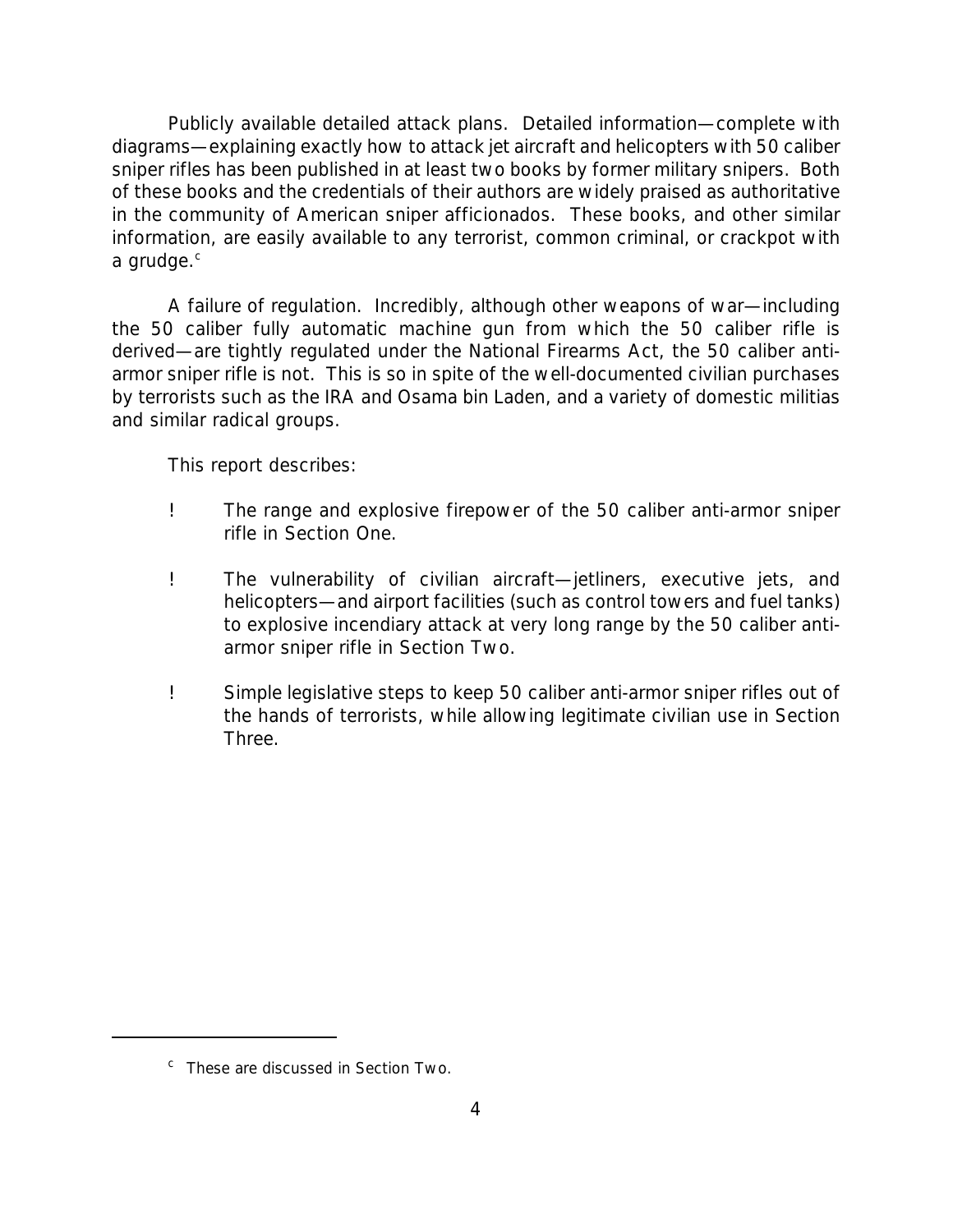*Publicly available detailed attack plans.* Detailed information—complete with diagrams—explaining *exactly* how to attack jet aircraft and helicopters with 50 caliber sniper rifles has been published in at least two books by former military snipers. Both of these books and the credentials of their authors are widely praised as authoritative in the community of American sniper afficionados. These books, and other similar information, are easily available to any terrorist, common criminal, or crackpot with a grudge.<sup>c</sup>

*A failure of regulation.* Incredibly, although other weapons of war—including the 50 caliber fully automatic machine gun from which the 50 caliber rifle is derived—are tightly regulated under the National Firearms Act, the 50 caliber antiarmor sniper rifle is not. This is so in spite of the well-documented civilian purchases by terrorists such as the IRA and Osama bin Laden, and a variety of domestic militias and similar radical groups.

This report describes:

- ! The range and explosive firepower of the 50 caliber anti-armor sniper rifle in Section One.
- ! The vulnerability of civilian aircraft—jetliners, executive jets, and helicopters—and airport facilities (such as control towers and fuel tanks) to explosive incendiary attack at very long range by the 50 caliber antiarmor sniper rifle in Section Two.
- ! Simple legislative steps to keep 50 caliber anti-armor sniper rifles out of the hands of terrorists, while allowing legitimate civilian use in Section Three.

<sup>&</sup>lt;sup>c</sup> These are discussed in Section Two.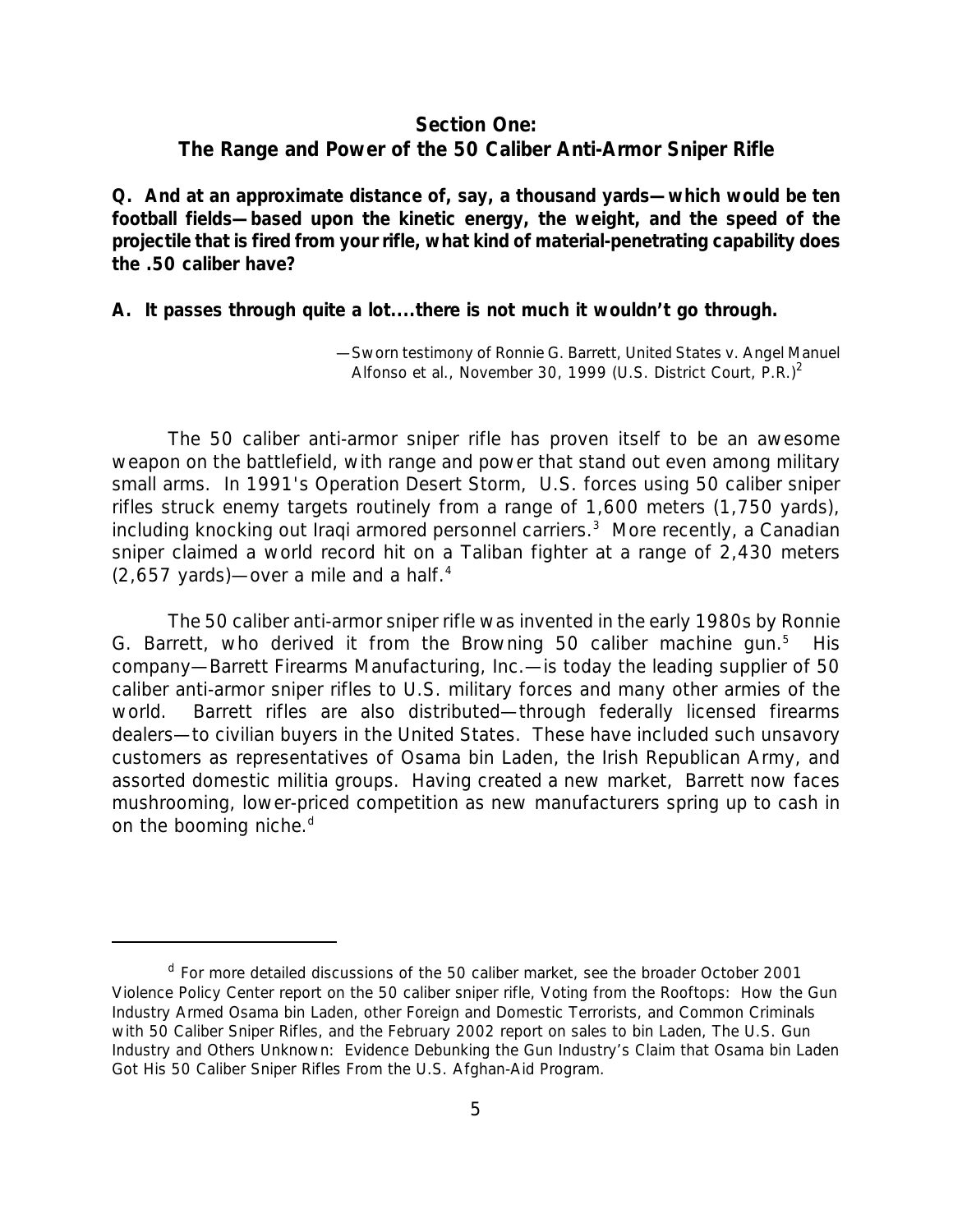#### *Section One:*

#### *The Range and Power of the 50 Caliber Anti-Armor Sniper Rifle*

*Q. And at an approximate distance of, say, a thousand yards—which would be ten football fields—based upon the kinetic energy, the weight, and the speed of the projectile that is fired from your rifle, what kind of material-penetrating capability does the .50 caliber have?*

#### *A. It passes through quite a lot....there is not much it wouldn't go through.*

—Sworn testimony of Ronnie G. Barrett, *United States v. Angel Manuel Alfonso et al.,* November 30, 1999 (U.S. District Court, P.R.)<sup>2</sup>

The 50 caliber anti-armor sniper rifle has proven itself to be an awesome weapon on the battlefield, with range and power that stand out even among military small arms. In 1991's Operation Desert Storm, U.S. forces using 50 caliber sniper rifles struck enemy targets routinely from a range of 1,600 meters (1,750 yards), including knocking out Iraqi armored personnel carriers.<sup>3</sup> More recently, a Canadian sniper claimed a world record hit on a Taliban fighter at a range of 2,430 meters  $(2,657 \text{ yards})$ —over a mile and a half.<sup>4</sup>

The 50 caliber anti-armor sniper rifle was invented in the early 1980s by Ronnie G. Barrett, who derived it from the Browning 50 caliber machine gun. $5$  His company—Barrett Firearms Manufacturing, Inc.—is today the leading supplier of 50 caliber anti-armor sniper rifles to U.S. military forces and many other armies of the world. Barrett rifles are also distributed—through federally licensed firearms dealers—to civilian buyers in the United States. These have included such unsavory customers as representatives of Osama bin Laden, the Irish Republican Army, and assorted domestic militia groups. Having created a new market, Barrett now faces mushrooming, lower-priced competition as new manufacturers spring up to cash in on the booming niche.<sup>d</sup>

<sup>&</sup>lt;sup>d</sup> For more detailed discussions of the 50 caliber market, see the broader October 2001 Violence Policy Center report on the 50 caliber sniper rifle, *Voting from the Rooftops: How the Gun Industry Armed Osama bin Laden, other Foreign and Domestic Terrorists, and Common Criminals with 50 Caliber Sniper Rifles,* and the February 2002 report on sales to bin Laden, *The U.S. Gun Industry and Others Unknown: Evidence Debunking the Gun Industry's Claim that Osama bin Laden Got His 50 Caliber Sniper Rifles From the U.S. Afghan-Aid Program*.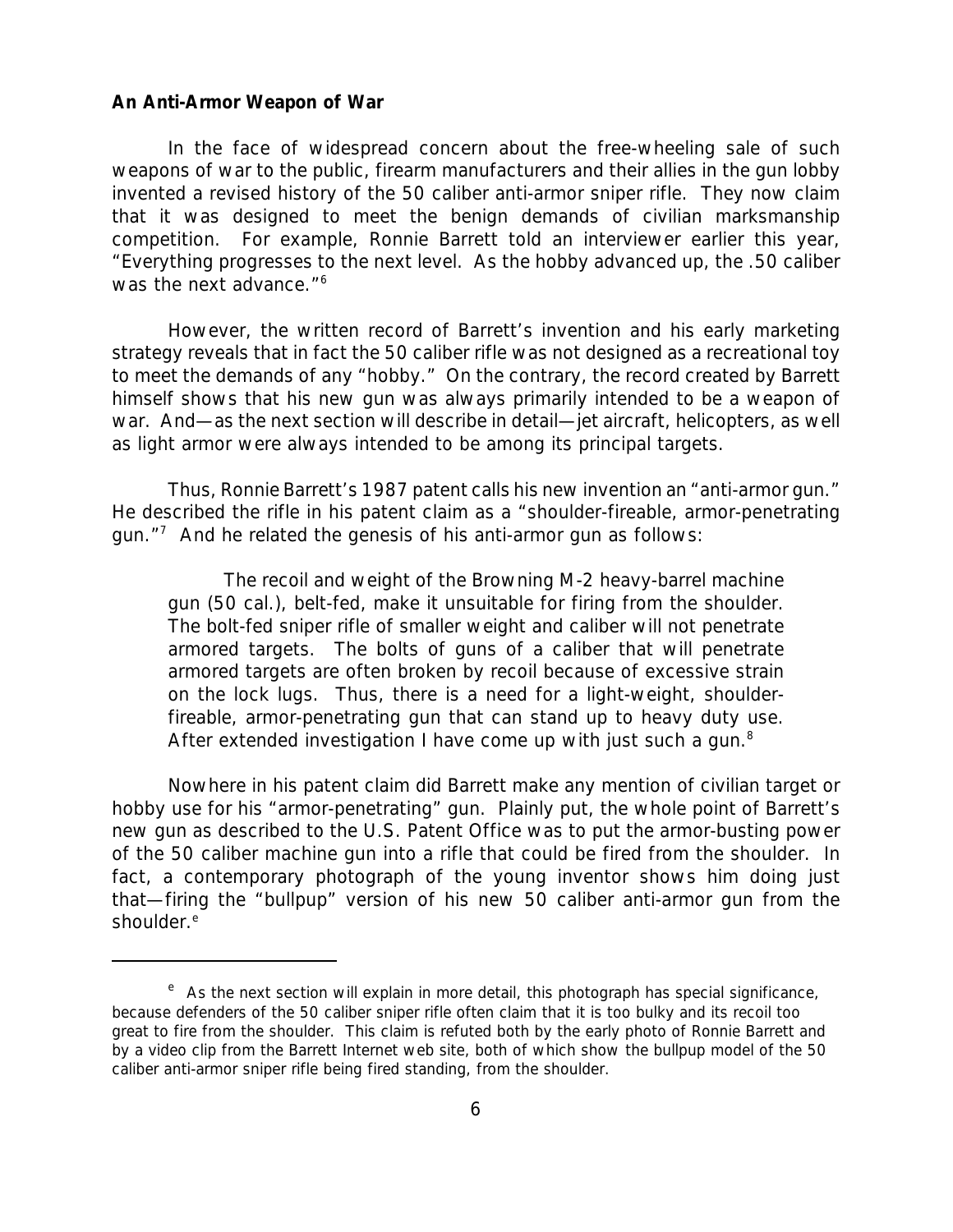#### *An Anti-Armor Weapon of War*

In the face of widespread concern about the free-wheeling sale of such weapons of war to the public, firearm manufacturers and their allies in the gun lobby invented a revised history of the 50 caliber anti-armor sniper rifle. They now claim that it was designed to meet the benign demands of civilian marksmanship competition. For example, Ronnie Barrett told an interviewer earlier this year, "Everything progresses to the next level. As the hobby advanced up, the .50 caliber was the next advance."<sup>6</sup>

However, the written record of Barrett's invention and his early marketing strategy reveals that in fact the 50 caliber rifle was not designed as a recreational toy to meet the demands of any "hobby." On the contrary, the record created by Barrett himself shows that his new gun was always primarily intended to be a weapon of war. And—as the next section will describe in detail—jet aircraft, helicopters, as well as light armor were always intended to be among its principal targets.

Thus, Ronnie Barrett's 1987 patent calls his new invention an "anti-armor gun." He described the rifle in his patent claim as a "shoulder-fireable, armor-penetrating gun. $17$  And he related the genesis of his anti-armor gun as follows:

The recoil and weight of the Browning M-2 heavy-barrel machine gun (50 cal.), belt-fed, make it unsuitable for firing from the shoulder. The bolt-fed sniper rifle of smaller weight and caliber will not penetrate armored targets. The bolts of guns of a caliber that will penetrate armored targets are often broken by recoil because of excessive strain on the lock lugs. Thus, there is a need for a light-weight, shoulderfireable, armor-penetrating gun that can stand up to heavy duty use. After extended investigation I have come up with just such a gun.<sup>8</sup>

Nowhere in his patent claim did Barrett make any mention of civilian target or hobby use for his "armor-penetrating" gun. Plainly put, the whole point of Barrett's new gun as described to the U.S. Patent Office was to put the armor-busting power of the 50 caliber machine gun into a rifle that could be fired from the shoulder. In fact, a contemporary photograph of the young inventor shows him doing just that—firing the "bullpup" version of his new 50 caliber anti-armor gun from the shoulder.<sup>e</sup>

<sup>&</sup>lt;sup>e</sup> As the next section will explain in more detail, this photograph has special significance, because defenders of the 50 caliber sniper rifle often claim that it is too bulky and its recoil too great to fire from the shoulder. This claim is refuted both by the early photo of Ronnie Barrett and by a video clip from the Barrett Internet web site, both of which show the bullpup model of the 50 caliber anti-armor sniper rifle being fired standing, from the shoulder.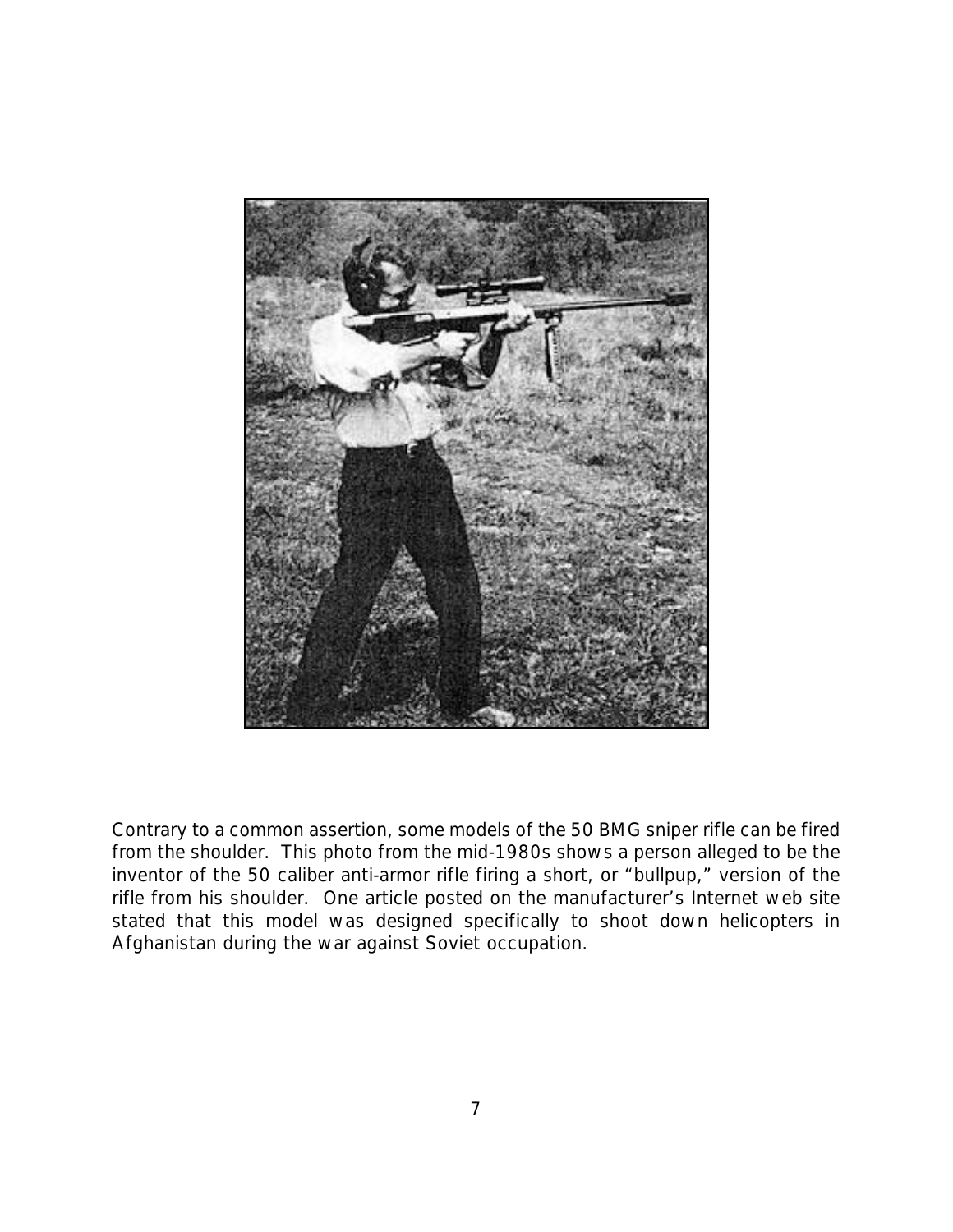

Contrary to a common assertion, some models of the 50 BMG sniper rifle can be fired from the shoulder. This photo from the mid-1980s shows a person alleged to be the inventor of the 50 caliber anti-armor rifle firing a short, or "bullpup," version of the rifle from his shoulder. One article posted on the manufacturer's Internet web site stated that this model was designed specifically to shoot down helicopters in Afghanistan during the war against Soviet occupation.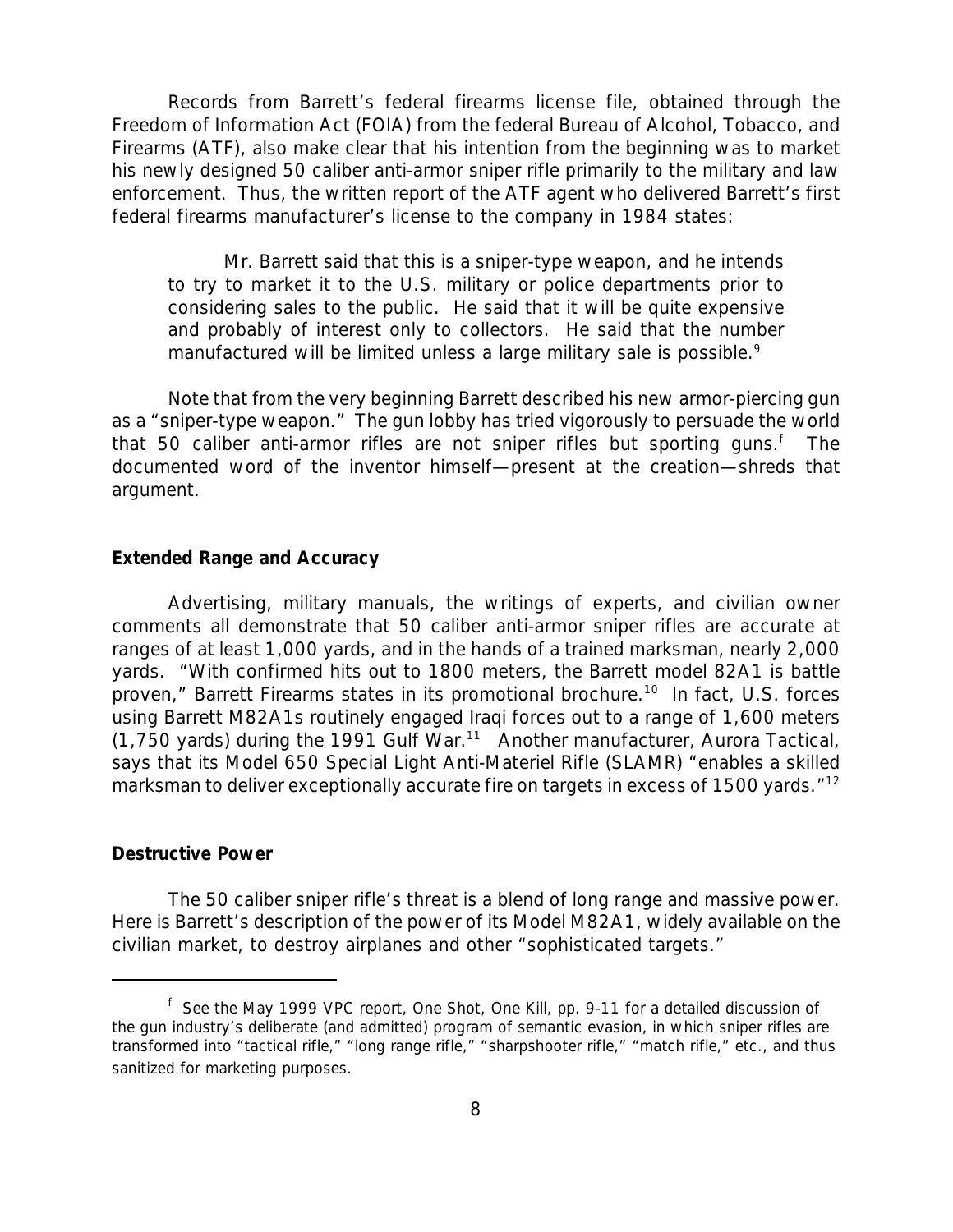Records from Barrett's federal firearms license file, obtained through the Freedom of Information Act (FOIA) from the federal Bureau of Alcohol, Tobacco, and Firearms (ATF), also make clear that his intention from the beginning was to market his newly designed 50 caliber anti-armor sniper rifle primarily to the military and law enforcement. Thus, the written report of the ATF agent who delivered Barrett's first federal firearms manufacturer's license to the company in 1984 states:

Mr. Barrett said that this is a sniper-type weapon, and he intends to try to market it to the U.S. military or police departments prior to considering sales to the public. He said that it will be quite expensive and probably of interest only to collectors. He said that the number manufactured will be limited unless a large military sale is possible.<sup>9</sup>

Note that from the very beginning Barrett described his new armor-piercing gun as a "sniper-type weapon." The gun lobby has tried vigorously to persuade the world that 50 caliber anti-armor rifles are not sniper rifles but sporting guns.<sup>f</sup> The documented word of the inventor himself—present at the creation—shreds that argument.

#### *Extended Range and Accuracy*

Advertising, military manuals, the writings of experts, and civilian owner comments all demonstrate that 50 caliber anti-armor sniper rifles are accurate at ranges of at least 1,000 yards, and in the hands of a trained marksman, nearly 2,000 yards. "With confirmed hits out to 1800 meters, the Barrett model 82A1 is battle proven," Barrett Firearms states in its promotional brochure.<sup>10</sup> In fact, U.S. forces using Barrett M82A1s routinely engaged Iraqi forces out to a range of 1,600 meters  $(1,750 \text{ yards})$  during the 1991 Gulf War.<sup>11</sup> Another manufacturer, Aurora Tactical, says that its Model 650 Special Light Anti-Materiel Rifle (SLAMR) "enables a skilled marksman to deliver exceptionally accurate fire on targets in excess of 1500 yards."<sup>12</sup>

#### *Destructive Power*

The 50 caliber sniper rifle's threat is a blend of long range and massive power. Here is Barrett's description of the power of its Model M82A1, widely available on the civilian market, to destroy airplanes and other "sophisticated targets."

f See the May 1999 VPC report, *One Shot, One Kill*, pp. 9-11 for a detailed discussion of the gun industry's deliberate (and admitted) program of semantic evasion, in which sniper rifles are transformed into "tactical rifle," "long range rifle," "sharpshooter rifle," "match rifle," etc., and thus sanitized for marketing purposes.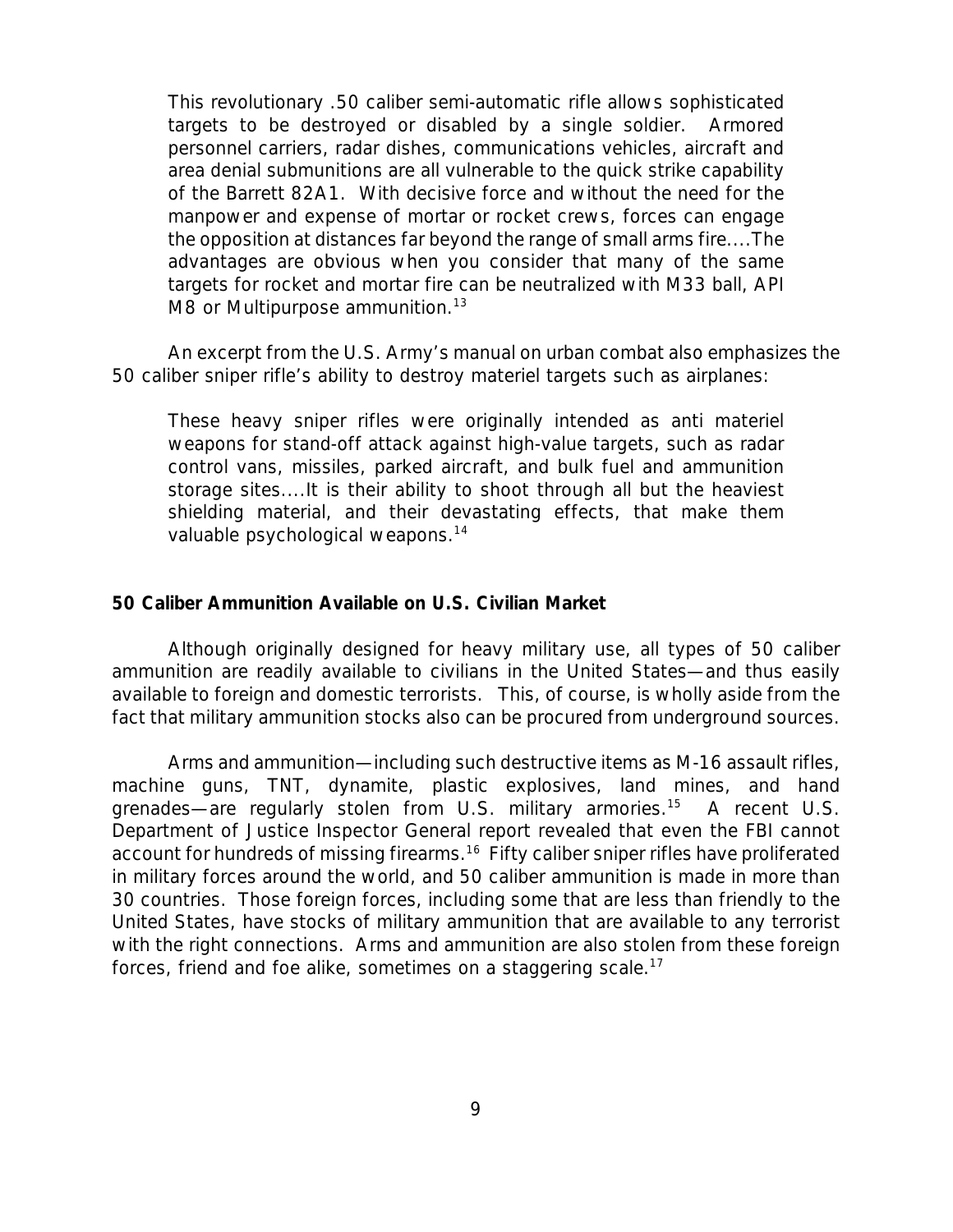This revolutionary .50 caliber semi-automatic rifle allows sophisticated targets to be destroyed or disabled by a single soldier. Armored personnel carriers, radar dishes, communications vehicles, aircraft and area denial submunitions are all vulnerable to the quick strike capability of the Barrett 82A1. With decisive force and without the need for the manpower and expense of mortar or rocket crews, forces can engage the opposition at distances far beyond the range of small arms fire....The advantages are obvious when you consider that many of the same targets for rocket and mortar fire can be neutralized with M33 ball, API M8 or Multipurpose ammunition.<sup>13</sup>

An excerpt from the U.S. Army's manual on urban combat also emphasizes the 50 caliber sniper rifle's ability to destroy materiel targets such as airplanes:

These heavy sniper rifles were originally intended as anti materiel weapons for stand-off attack against high-value targets, such as radar control vans, missiles, parked aircraft, and bulk fuel and ammunition storage sites....It is their ability to shoot through all but the heaviest shielding material, and their devastating effects, that make them valuable psychological weapons.<sup>14</sup>

#### *50 Caliber Ammunition Available on U.S. Civilian Market*

Although originally designed for heavy military use, all types of 50 caliber ammunition are readily available to civilians in the United States—and thus easily available to foreign and domestic terrorists. This, of course, is wholly aside from the fact that military ammunition stocks also can be procured from underground sources.

Arms and ammunition—including such destructive items as M-16 assault rifles, machine guns, TNT, dynamite, plastic explosives, land mines, and hand grenades—are regularly stolen from U.S. military armories.<sup>15</sup> A recent U.S. Department of Justice Inspector General report revealed that even the FBI cannot account for hundreds of missing firearms.<sup>16</sup> Fifty caliber sniper rifles have proliferated in military forces around the world, and 50 caliber ammunition is made in more than 30 countries. Those foreign forces, including some that are less than friendly to the United States, have stocks of military ammunition that are available to any terrorist with the right connections. Arms and ammunition are also stolen from these foreign forces, friend and foe alike, sometimes on a staggering scale.<sup>17</sup>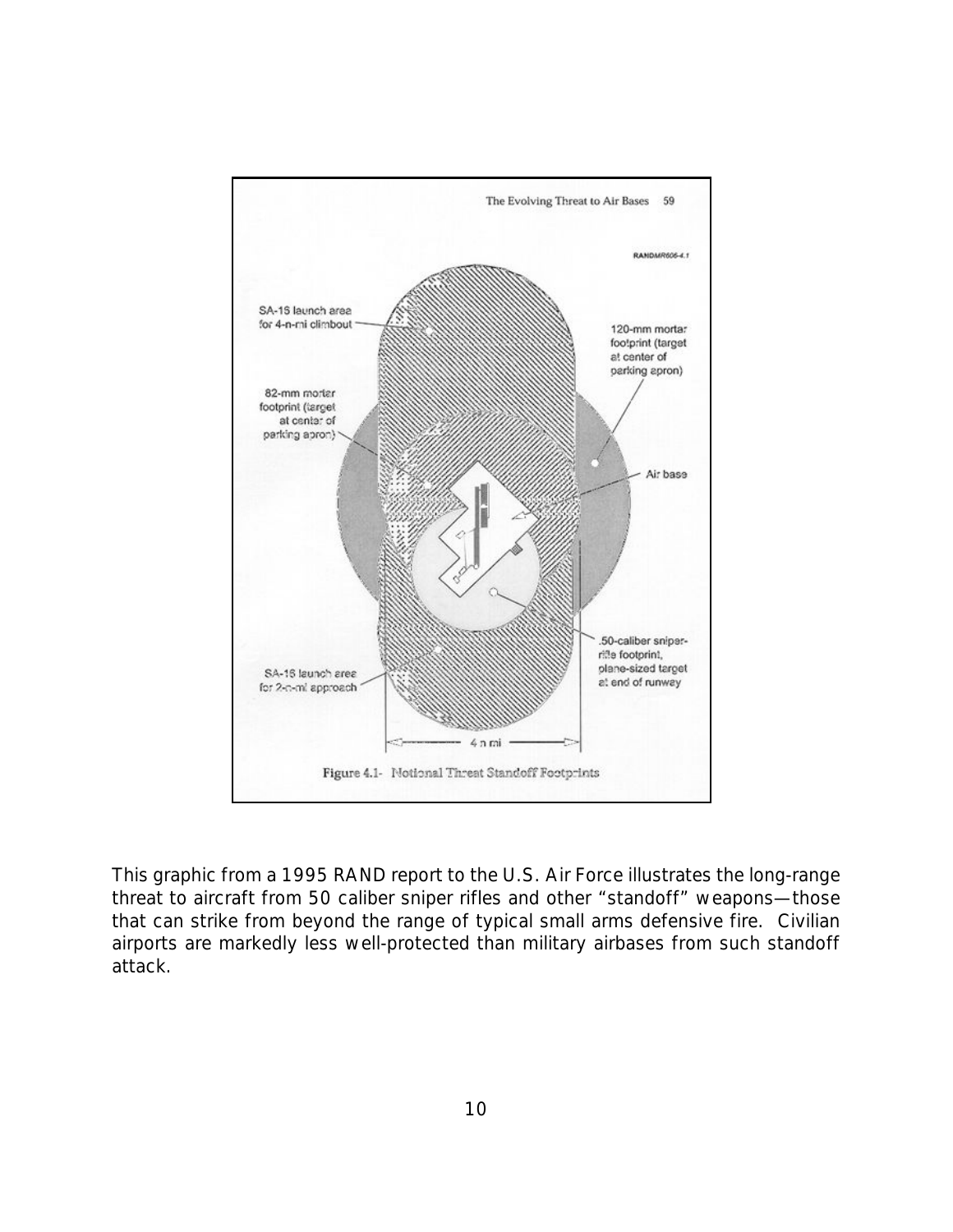

This graphic from a 1995 RAND report to the U.S. Air Force illustrates the long-range threat to aircraft from 50 caliber sniper rifles and other "standoff" weapons—those that can strike from beyond the range of typical small arms defensive fire. Civilian airports are markedly less well-protected than military airbases from such standoff attack.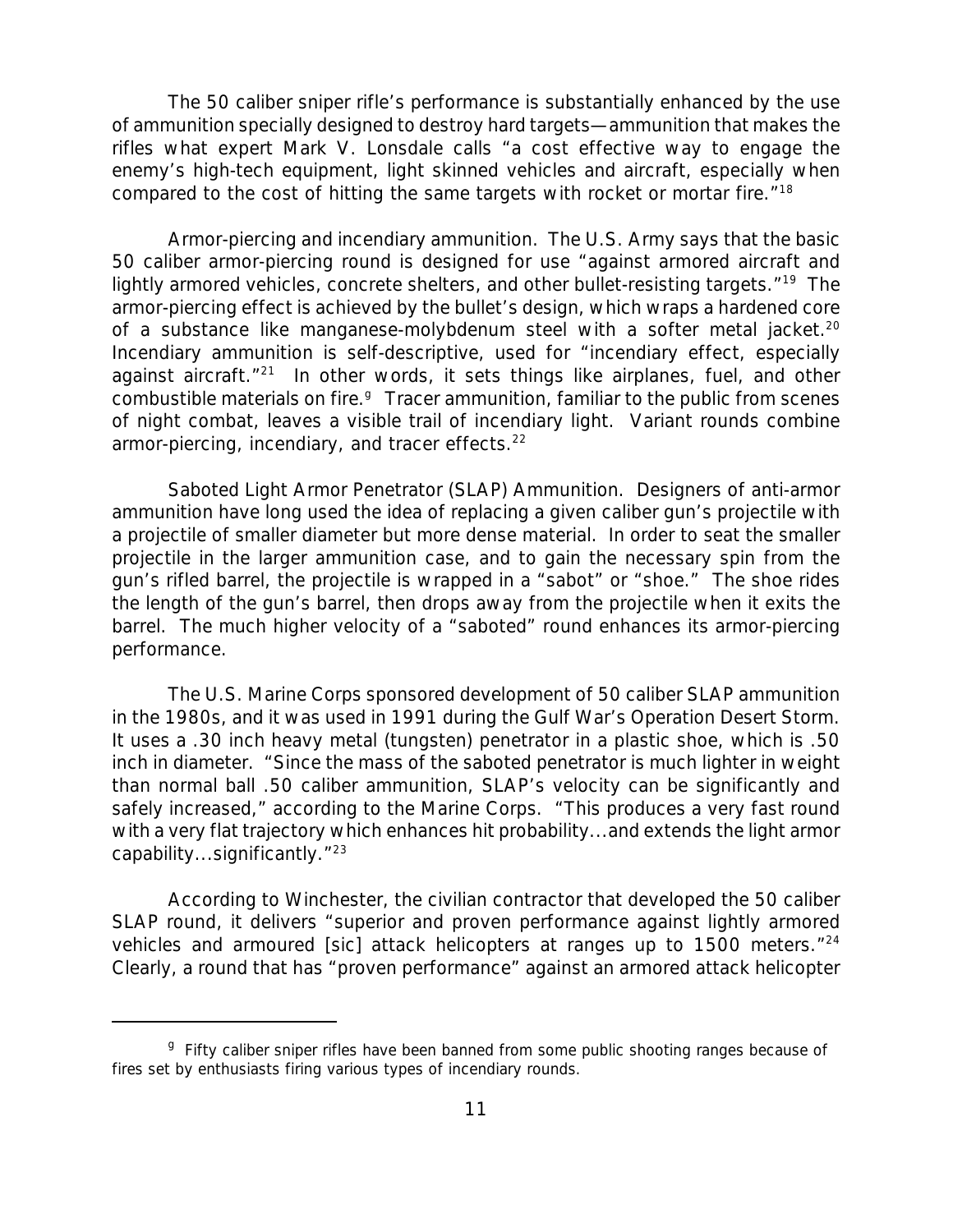The 50 caliber sniper rifle's performance is substantially enhanced by the use of ammunition specially designed to destroy hard targets—ammunition that makes the rifles what expert Mark V. Lonsdale calls "a cost effective way to engage the enemy's high-tech equipment, light skinned vehicles and aircraft, especially when compared to the cost of hitting the same targets with rocket or mortar fire."<sup>18</sup>

*Armor-piercing and incendiary ammunition.* The U.S. Army says that the basic 50 caliber armor-piercing round is designed for use "against armored aircraft and lightly armored vehicles, concrete shelters, and other bullet-resisting targets."<sup>19</sup> The armor-piercing effect is achieved by the bullet's design, which wraps a hardened core of a substance like manganese-molybdenum steel with a softer metal jacket.<sup>20</sup> Incendiary ammunition is self-descriptive, used for "incendiary effect, especially against aircraft."<sup>21</sup> In other words, it sets things like airplanes, fuel, and other combustible materials on fire.<sup>9</sup> Tracer ammunition, familiar to the public from scenes of night combat, leaves a visible trail of incendiary light. Variant rounds combine armor-piercing, incendiary, and tracer effects.<sup>22</sup>

*Saboted Light Armor Penetrator (SLAP) Ammunition.* Designers of anti-armor ammunition have long used the idea of replacing a given caliber gun's projectile with a projectile of smaller diameter but more dense material. In order to seat the smaller projectile in the larger ammunition case, and to gain the necessary spin from the gun's rifled barrel, the projectile is wrapped in a "sabot" or "shoe." The shoe rides the length of the gun's barrel, then drops away from the projectile when it exits the barrel. The much higher velocity of a "saboted" round enhances its armor-piercing performance.

The U.S. Marine Corps sponsored development of 50 caliber SLAP ammunition in the 1980s, and it was used in 1991 during the Gulf War's Operation Desert Storm. It uses a .30 inch heavy metal (tungsten) penetrator in a plastic shoe, which is .50 inch in diameter. "Since the mass of the saboted penetrator is much lighter in weight than normal ball .50 caliber ammunition, SLAP's velocity can be significantly and safely increased," according to the Marine Corps. "This produces a very fast round with a very flat trajectory which enhances hit probability...and extends the light armor capability...significantly."<sup>23</sup>

According to Winchester, the civilian contractor that developed the 50 caliber SLAP round, it delivers "superior and proven performance against lightly armored vehicles and armoured [sic] attack helicopters at ranges up to 1500 meters.<sup>"24</sup> Clearly, a round that has "proven performance" against an armored attack helicopter

<sup>&</sup>lt;sup>g</sup> Fifty caliber sniper rifles have been banned from some public shooting ranges because of fires set by enthusiasts firing various types of incendiary rounds.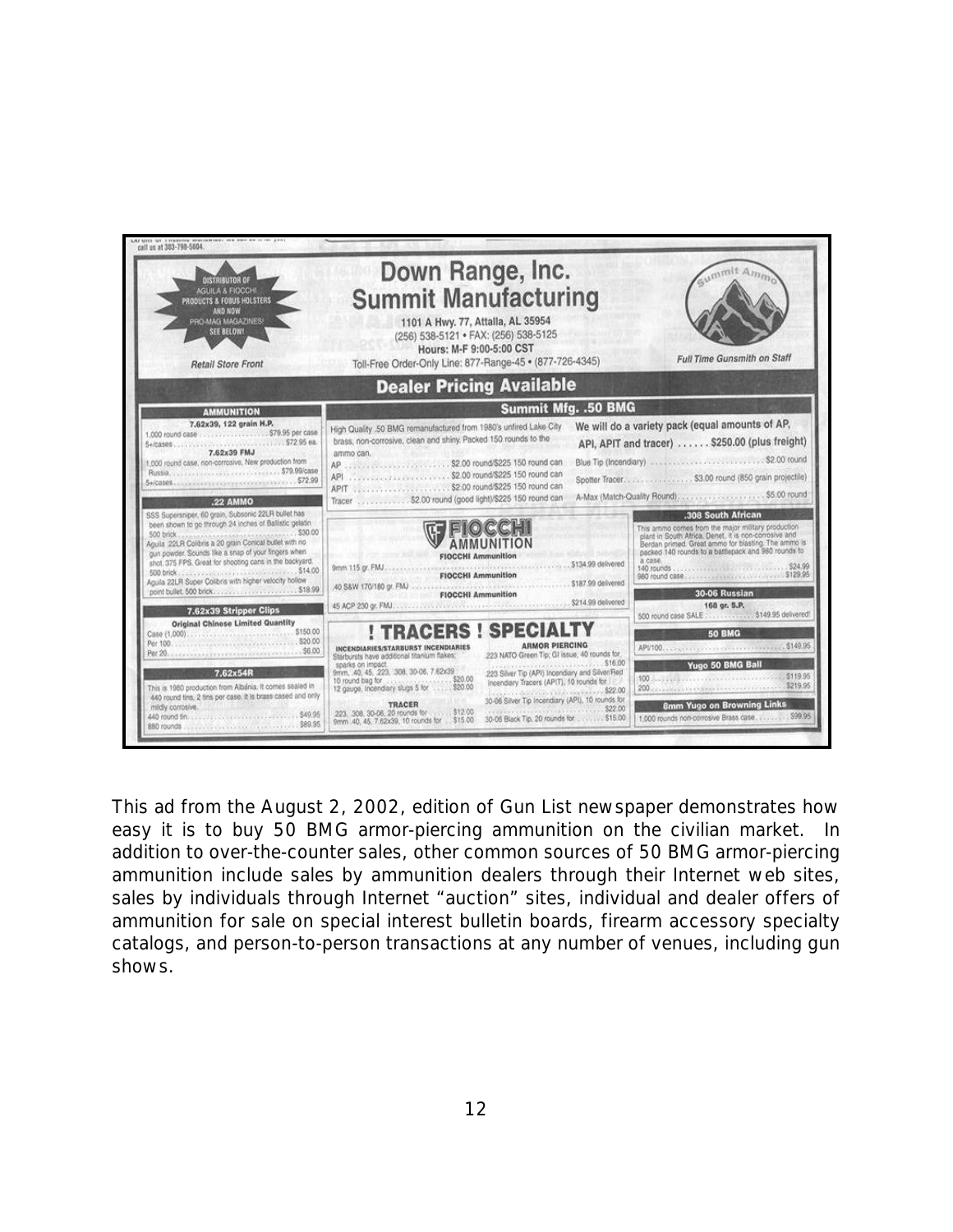

This ad from the August 2, 2002, edition of *Gun List* newspaper demonstrates how easy it is to buy 50 BMG armor-piercing ammunition on the civilian market. In addition to over-the-counter sales, other common sources of 50 BMG armor-piercing ammunition include sales by ammunition dealers through their Internet web sites, sales by individuals through Internet "auction" sites, individual and dealer offers of ammunition for sale on special interest bulletin boards, firearm accessory specialty catalogs, and person-to-person transactions at any number of venues, including gun shows.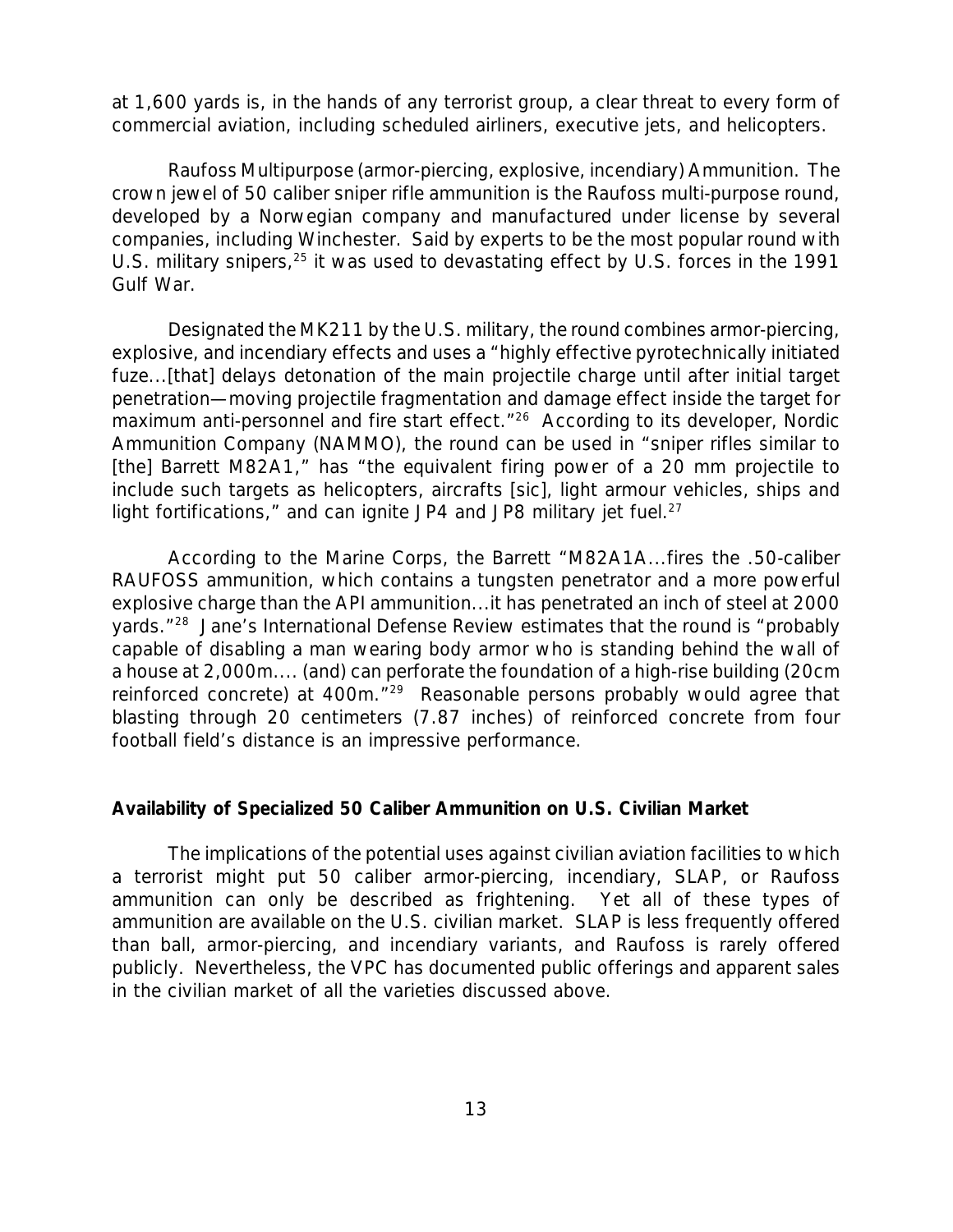at 1,600 yards is, in the hands of any terrorist group, a clear threat to every form of commercial aviation, including scheduled airliners, executive jets, and helicopters.

*Raufoss Multipurpose (armor-piercing, explosive, incendiary) Ammunition.* The crown jewel of 50 caliber sniper rifle ammunition is the Raufoss multi-purpose round, developed by a Norwegian company and manufactured under license by several companies, including Winchester. Said by experts to be the most popular round with U.S. military snipers,<sup>25</sup> it was used to devastating effect by U.S. forces in the 1991 Gulf War.

Designated the MK211 by the U.S. military, the round combines armor-piercing, explosive, and incendiary effects and uses a "highly effective pyrotechnically initiated fuze...[that] delays detonation of the main projectile charge until after initial target penetration—moving projectile fragmentation and damage effect inside the target for maximum anti-personnel and fire start effect.<sup>"26</sup> According to its developer, Nordic Ammunition Company (NAMMO), the round can be used in "sniper rifles similar to [the] Barrett M82A1," has "the equivalent firing power of a 20 mm projectile to include such targets as helicopters, aircrafts [sic], light armour vehicles, ships and light fortifications," and can ignite JP4 and JP8 military jet fuel.<sup>27</sup>

According to the Marine Corps, the Barrett "M82A1A...fires the .50-caliber RAUFOSS ammunition, which contains a tungsten penetrator and a more powerful explosive charge than the API ammunition...it has penetrated an inch of steel at 2000 yards."<sup>28</sup> Jane's *International Defense Review* estimates that the round is "probably capable of disabling a man wearing body armor who is standing behind the wall of a house at 2,000m.... (and) can perforate the foundation of a high-rise building (20cm reinforced concrete) at 400m."<sup>29</sup> Reasonable persons probably would agree that blasting through 20 centimeters (7.87 inches) of reinforced concrete from four football field's distance is an impressive performance.

### *Availability of Specialized 50 Caliber Ammunition on U.S. Civilian Market*

The implications of the potential uses against civilian aviation facilities to which a terrorist might put 50 caliber armor-piercing, incendiary, SLAP, or Raufoss ammunition can only be described as frightening. Yet all of these types of ammunition are available on the U.S. civilian market. SLAP is less frequently offered than ball, armor-piercing, and incendiary variants, and Raufoss is rarely offered publicly. Nevertheless, the VPC has documented public offerings and apparent sales in the civilian market of all the varieties discussed above.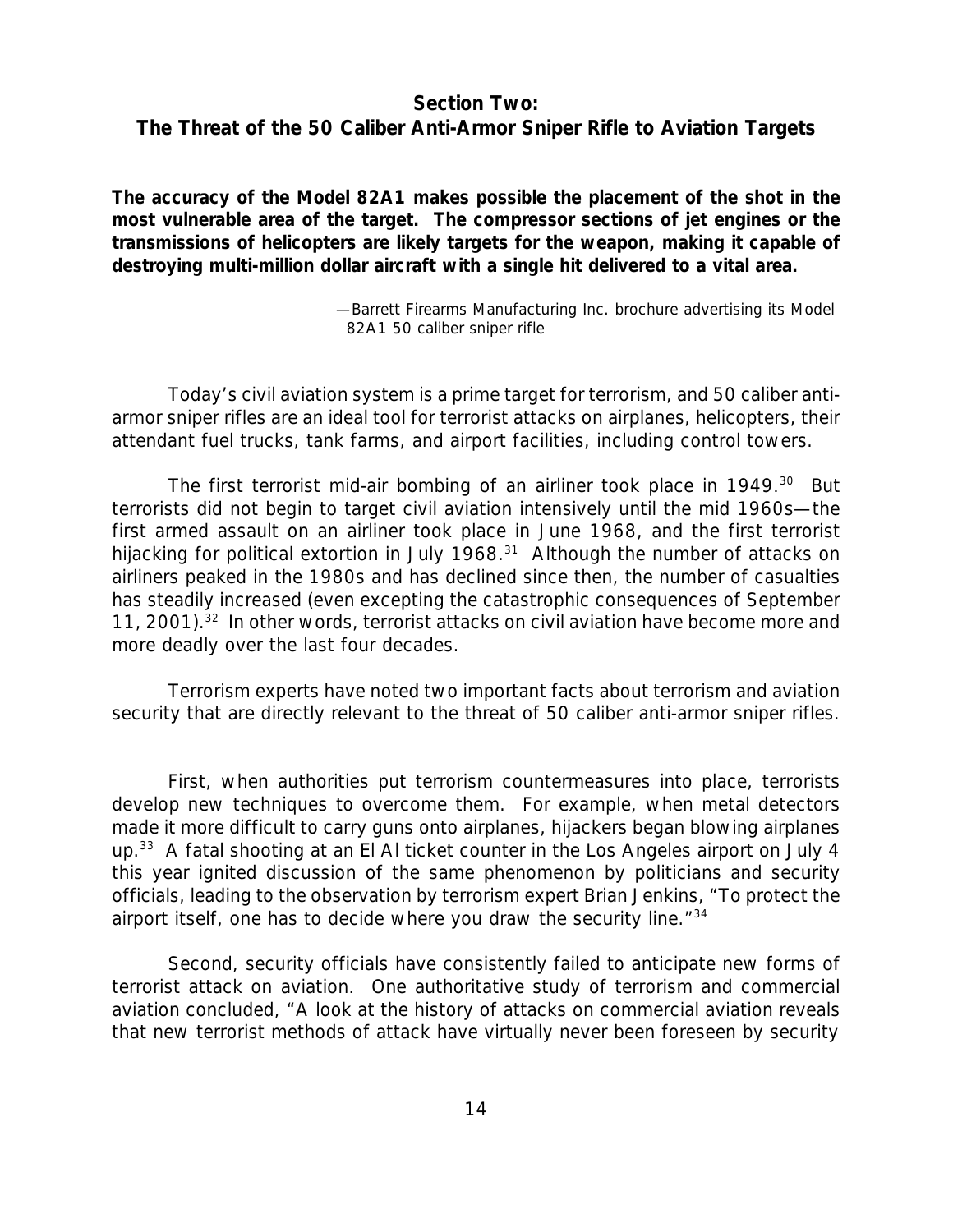# *Section Two: The Threat of the 50 Caliber Anti-Armor Sniper Rifle to Aviation Targets*

*The accuracy of the Model 82A1 makes possible the placement of the shot in the most vulnerable area of the target. The compressor sections of jet engines or the transmissions of helicopters are likely targets for the weapon, making it capable of destroying multi-million dollar aircraft with a single hit delivered to a vital area.*

> —Barrett Firearms Manufacturing Inc. brochure advertising its Model 82A1 50 caliber sniper rifle

Today's civil aviation system is a prime target for terrorism, and 50 caliber antiarmor sniper rifles are an ideal tool for terrorist attacks on airplanes, helicopters, their attendant fuel trucks, tank farms, and airport facilities, including control towers.

The first terrorist mid-air bombing of an airliner took place in 1949.<sup>30</sup> But terrorists did not begin to target civil aviation intensively until the mid 1960s—the first armed assault on an airliner took place in June 1968, and the first terrorist hijacking for political extortion in July 1968.<sup>31</sup> Although the number of attacks on airliners peaked in the 1980s and has declined since then, the number of casualties has steadily increased (even excepting the catastrophic consequences of September 11, 2001).<sup>32</sup> In other words, terrorist attacks on civil aviation have become more and more deadly over the last four decades.

Terrorism experts have noted two important facts about terrorism and aviation security that are directly relevant to the threat of 50 caliber anti-armor sniper rifles.

First, when authorities put terrorism countermeasures into place, terrorists develop new techniques to overcome them. For example, when metal detectors made it more difficult to carry guns onto airplanes, hijackers began blowing airplanes up.<sup>33</sup> A fatal shooting at an El AI ticket counter in the Los Angeles airport on July 4 this year ignited discussion of the same phenomenon by politicians and security officials, leading to the observation by terrorism expert Brian Jenkins, "To protect the airport itself, one has to decide where you draw the security line."<sup>34</sup>

Second, security officials have consistently failed to anticipate new forms of terrorist attack on aviation. One authoritative study of terrorism and commercial aviation concluded, "A look at the history of attacks on commercial aviation reveals that new terrorist methods of attack have virtually never been foreseen by security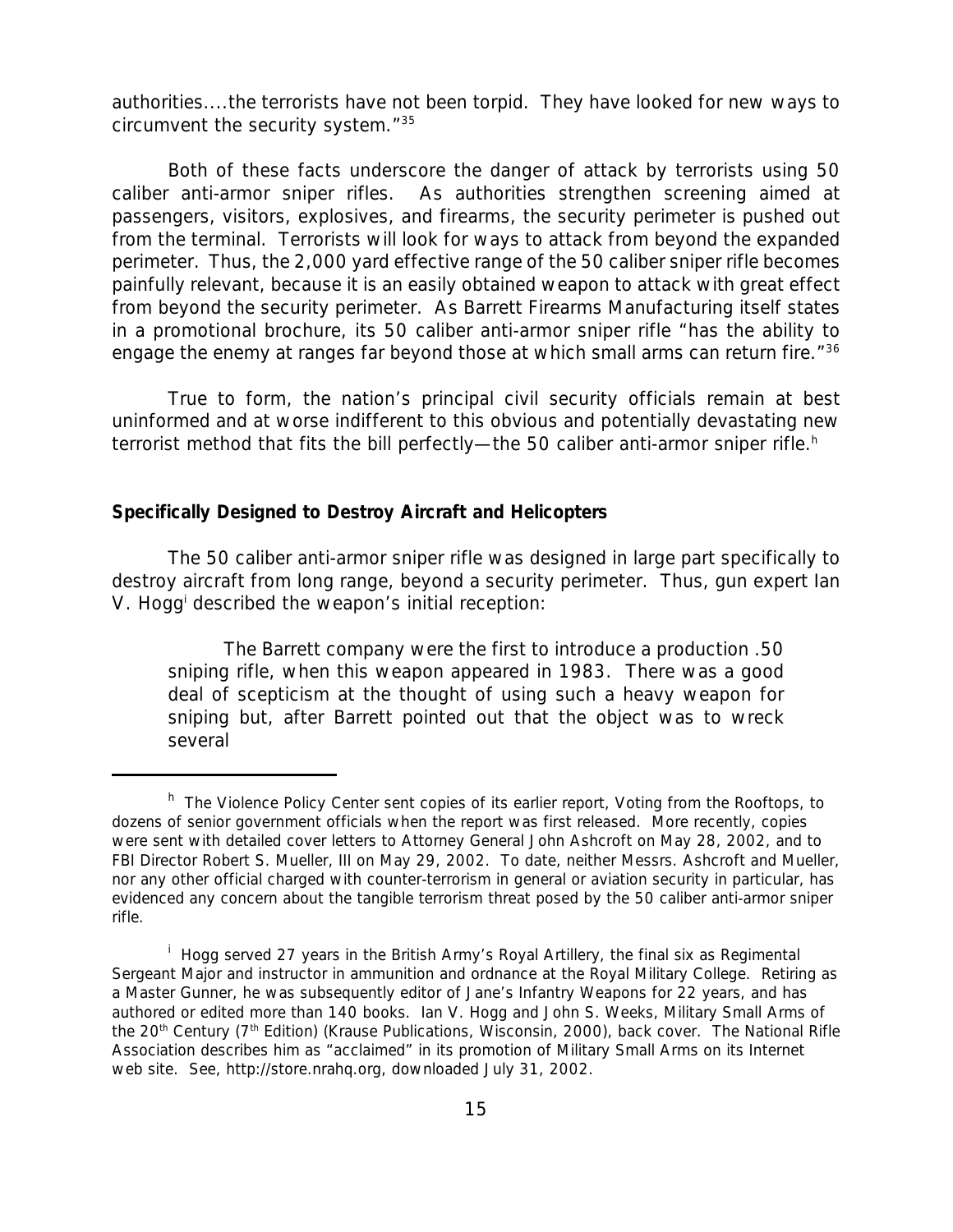authorities....the terrorists have not been torpid. They have looked for new ways to circumvent the security system."<sup>35</sup>

Both of these facts underscore the danger of attack by terrorists using 50 caliber anti-armor sniper rifles. As authorities strengthen screening aimed at passengers, visitors, explosives, and firearms, the security perimeter is pushed out from the terminal. Terrorists will look for ways to attack from beyond the expanded perimeter. Thus, the 2,000 yard effective range of the 50 caliber sniper rifle becomes painfully relevant, because it is an easily obtained weapon to attack with great effect from beyond the security perimeter. As Barrett Firearms Manufacturing itself states in a promotional brochure, its 50 caliber anti-armor sniper rifle "has the ability to engage the enemy at ranges far beyond those at which small arms can return fire."<sup>36</sup>

True to form, the nation's principal civil security officials remain at best uninformed and at worse indifferent to this obvious and potentially devastating new terrorist method that fits the bill perfectly—the 50 caliber anti-armor sniper rifle.<sup>h</sup>

#### *Specifically Designed to Destroy Aircraft and Helicopters*

The 50 caliber anti-armor sniper rifle was designed in large part specifically to destroy aircraft from long range, beyond a security perimeter. Thus, gun expert Ian V. Hogg<sup>i</sup> described the weapon's initial reception:

The Barrett company were the first to introduce a production .50 sniping rifle, when this weapon appeared in 1983. There was a good deal of scepticism at the thought of using such a heavy weapon for sniping but, after Barrett pointed out that the object was to wreck several

<sup>&</sup>lt;sup>h</sup> The Violence Policy Center sent copies of its earlier report, Voting from the Rooftops, to dozens of senior government officials when the report was first released. More recently, copies were sent with detailed cover letters to Attorney General John Ashcroft on May 28, 2002, and to FBI Director Robert S. Mueller, III on May 29, 2002. To date, neither Messrs. Ashcroft and Mueller, nor any other official charged with counter-terrorism in general or aviation security in particular, has evidenced any concern about the tangible terrorism threat posed by the 50 caliber anti-armor sniper rifle.

<sup>&</sup>lt;sup>i</sup> Hogg served 27 years in the British Army's Royal Artillery, the final six as Regimental Sergeant Major and instructor in ammunition and ordnance at the Royal Military College. Retiring as a Master Gunner, he was subsequently editor of *Jane's Infantry Weapons* for 22 years, and has authored or edited more than 140 books. Ian V. Hogg and John S. Weeks, *Military Small Arms of the 20th Century (7th Edition)* (Krause Publications, Wisconsin, 2000), back cover. The National Rifle Association describes him as "acclaimed" in its promotion of *Military Small Arms* on its Internet web site. See, http://store.nrahq.org, downloaded July 31, 2002.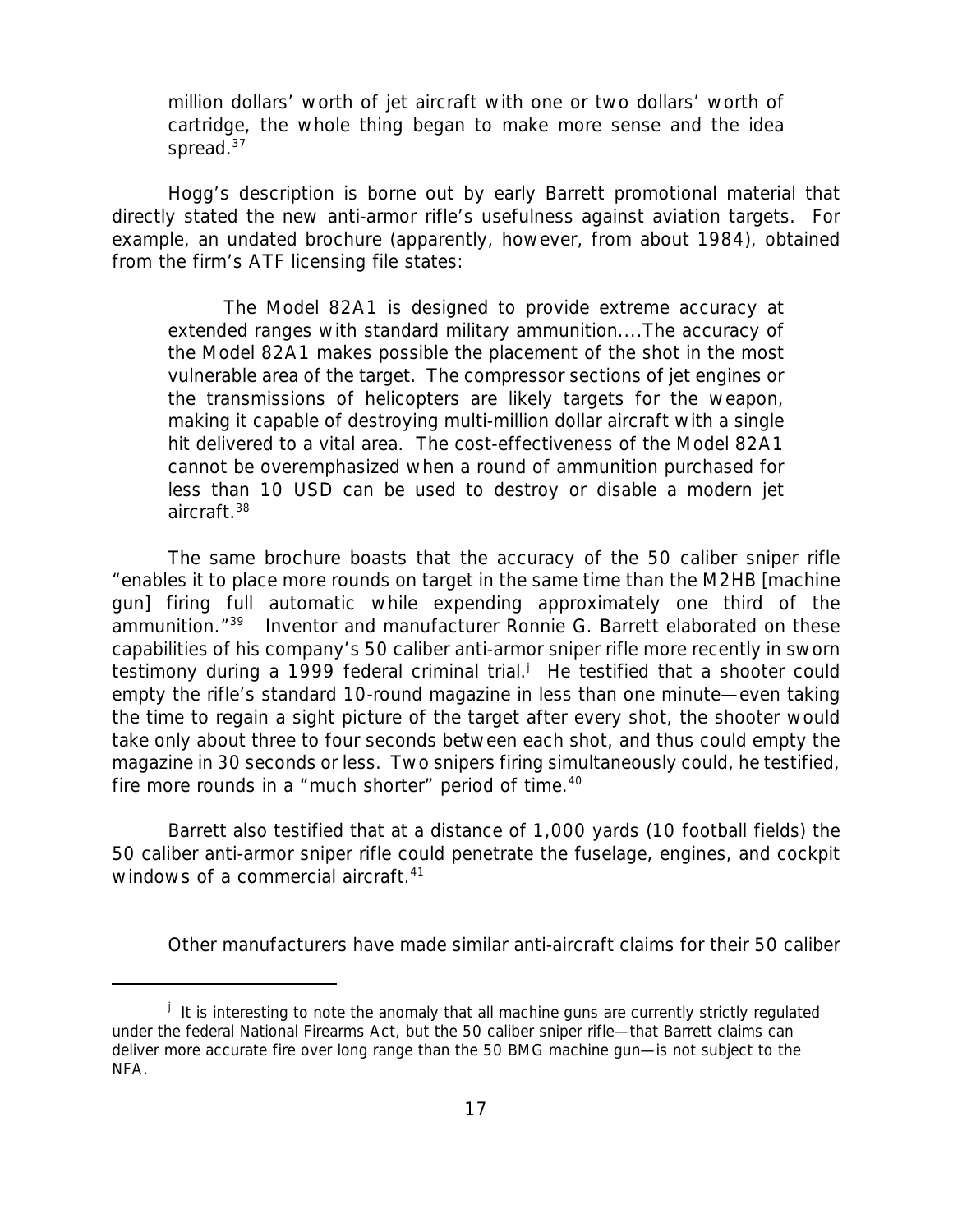million dollars' worth of jet aircraft with one or two dollars' worth of cartridge, the whole thing began to make more sense and the idea spread.<sup>37</sup>

Hogg's description is borne out by early Barrett promotional material that directly stated the new anti-armor rifle's usefulness against aviation targets. For example, an undated brochure (apparently, however, from about 1984), obtained from the firm's ATF licensing file states:

The Model 82A1 is designed to provide extreme accuracy at extended ranges with standard military ammunition....The accuracy of the Model 82A1 makes possible the placement of the shot in the most vulnerable area of the target. The compressor sections of jet engines or the transmissions of helicopters are likely targets for the weapon, making it capable of destroying multi-million dollar aircraft with a single hit delivered to a vital area. The cost-effectiveness of the Model 82A1 cannot be overemphasized when a round of ammunition purchased for less than 10 USD can be used to destroy or disable a modern jet aircraft.<sup>38</sup>

The same brochure boasts that the accuracy of the 50 caliber sniper rifle "enables it to place more rounds on target in the same time than the M2HB [machine gun] firing full automatic while expending approximately one third of the ammunition."<sup>39</sup> Inventor and manufacturer Ronnie G. Barrett elaborated on these capabilities of his company's 50 caliber anti-armor sniper rifle more recently in sworn testimony during a 1999 federal criminal trial.<sup>j</sup> He testified that a shooter could empty the rifle's standard 10-round magazine in less than one minute—even taking the time to regain a sight picture of the target after every shot, the shooter would take only about three to four seconds between each shot, and thus could empty the magazine in 30 seconds or less. Two snipers firing simultaneously could, he testified, fire more rounds in a "much shorter" period of time.<sup>40</sup>

Barrett also testified that at a distance of 1,000 yards (10 football fields) the 50 caliber anti-armor sniper rifle could penetrate the fuselage, engines, and cockpit windows of a commercial aircraft.<sup>41</sup>

Other manufacturers have made similar anti-aircraft claims for their 50 caliber

<sup>&</sup>lt;sup>j</sup> It is interesting to note the anomaly that all machine guns are currently strictly regulated under the federal National Firearms Act, but the 50 caliber sniper rifle—that Barrett claims can deliver more accurate fire over long range than the 50 BMG machine gun—is not subject to the NFA.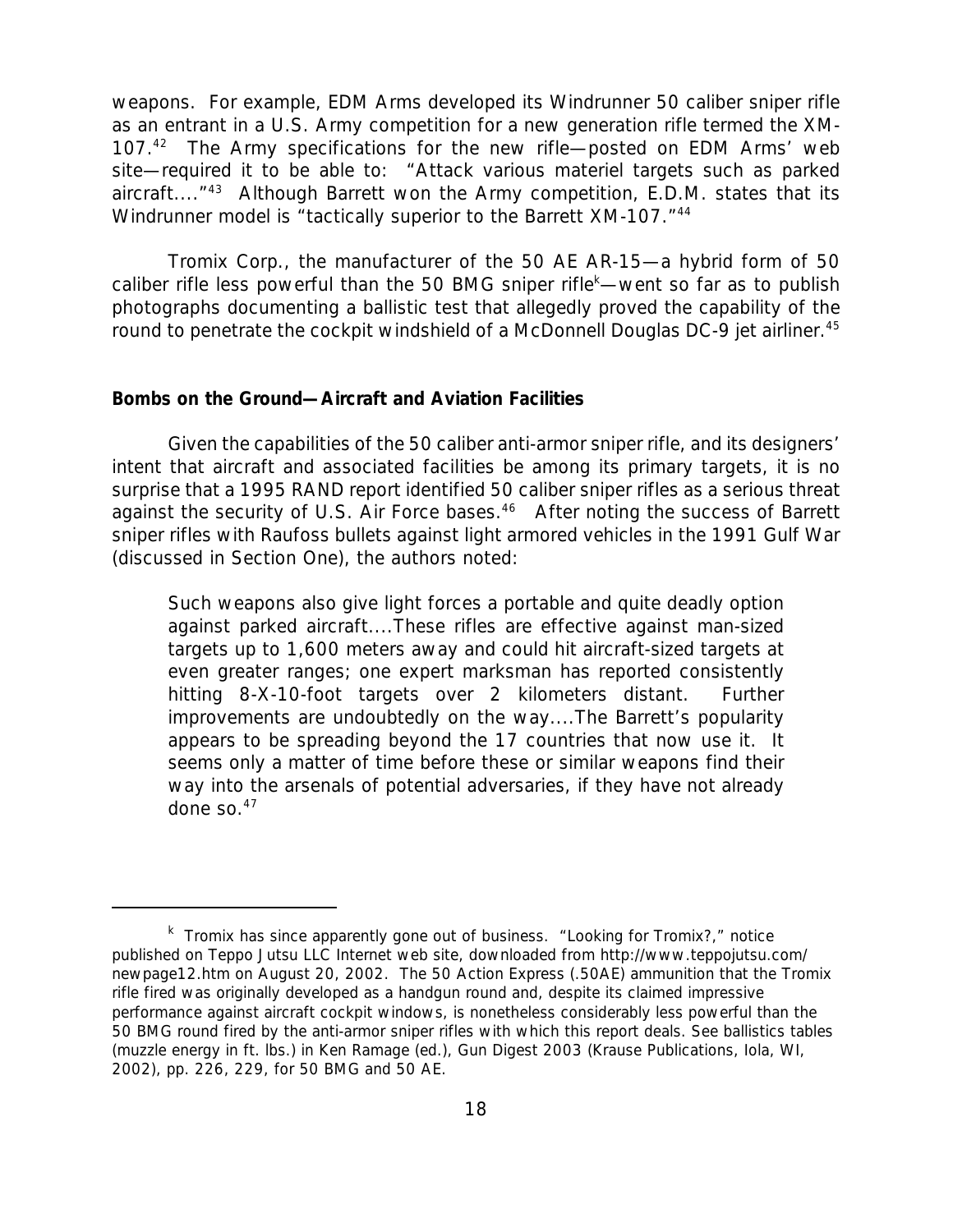weapons. For example, EDM Arms developed its Windrunner 50 caliber sniper rifle as an entrant in a U.S. Army competition for a new generation rifle termed the XM-107.<sup>42</sup> The Army specifications for the new rifle—posted on EDM Arms' web site—required it to be able to: "Attack various materiel targets such as parked aircraft...."<sup>43</sup> Although Barrett won the Army competition, E.D.M. states that its Windrunner model is "tactically superior to the Barrett XM-107."<sup>44</sup>

Tromix Corp., the manufacturer of the 50 AE AR-15—a hybrid form of 50 caliber rifle less powerful than the 50 BMG sniper rifle<sup>k</sup>—went so far as to publish photographs documenting a ballistic test that allegedly proved the capability of the round to penetrate the cockpit windshield of a McDonnell Douglas DC-9 jet airliner.<sup>45</sup>

#### *Bombs on the Ground—Aircraft and Aviation Facilities*

Given the capabilities of the 50 caliber anti-armor sniper rifle, and its designers' intent that aircraft and associated facilities be among its primary targets, it is no surprise that a 1995 RAND report identified 50 caliber sniper rifles as a serious threat against the security of U.S. Air Force bases.<sup>46</sup> After noting the success of Barrett sniper rifles with Raufoss bullets against light armored vehicles in the 1991 Gulf War (discussed in Section One), the authors noted:

Such weapons also give light forces a portable and quite deadly option against parked aircraft....These rifles are effective against man-sized targets up to 1,600 meters away and could hit aircraft-sized targets at even greater ranges; one expert marksman has reported consistently hitting 8-X-10-foot targets over 2 kilometers distant. Further improvements are undoubtedly on the way....The Barrett's popularity appears to be spreading beyond the 17 countries that now use it. It seems only a matter of time before these or similar weapons find their way into the arsenals of potential adversaries, if they have not already done so. $47$ 

k Tromix has since apparently gone out of business. "Looking for Tromix?," notice published on Teppo Jutsu LLC Internet web site, downloaded from http://www.teppojutsu.com/ newpage12.htm on August 20, 2002. The 50 Action Express (.50AE) ammunition that the Tromix rifle fired was originally developed as a handgun round and, despite its claimed impressive performance against aircraft cockpit windows, is nonetheless considerably less powerful than the 50 BMG round fired by the anti-armor sniper rifles with which this report deals. See ballistics tables (muzzle energy in ft. lbs.) in Ken Ramage (ed.), *Gun Digest 2003* (Krause Publications, Iola, WI, 2002), pp. 226, 229, for 50 BMG and 50 AE.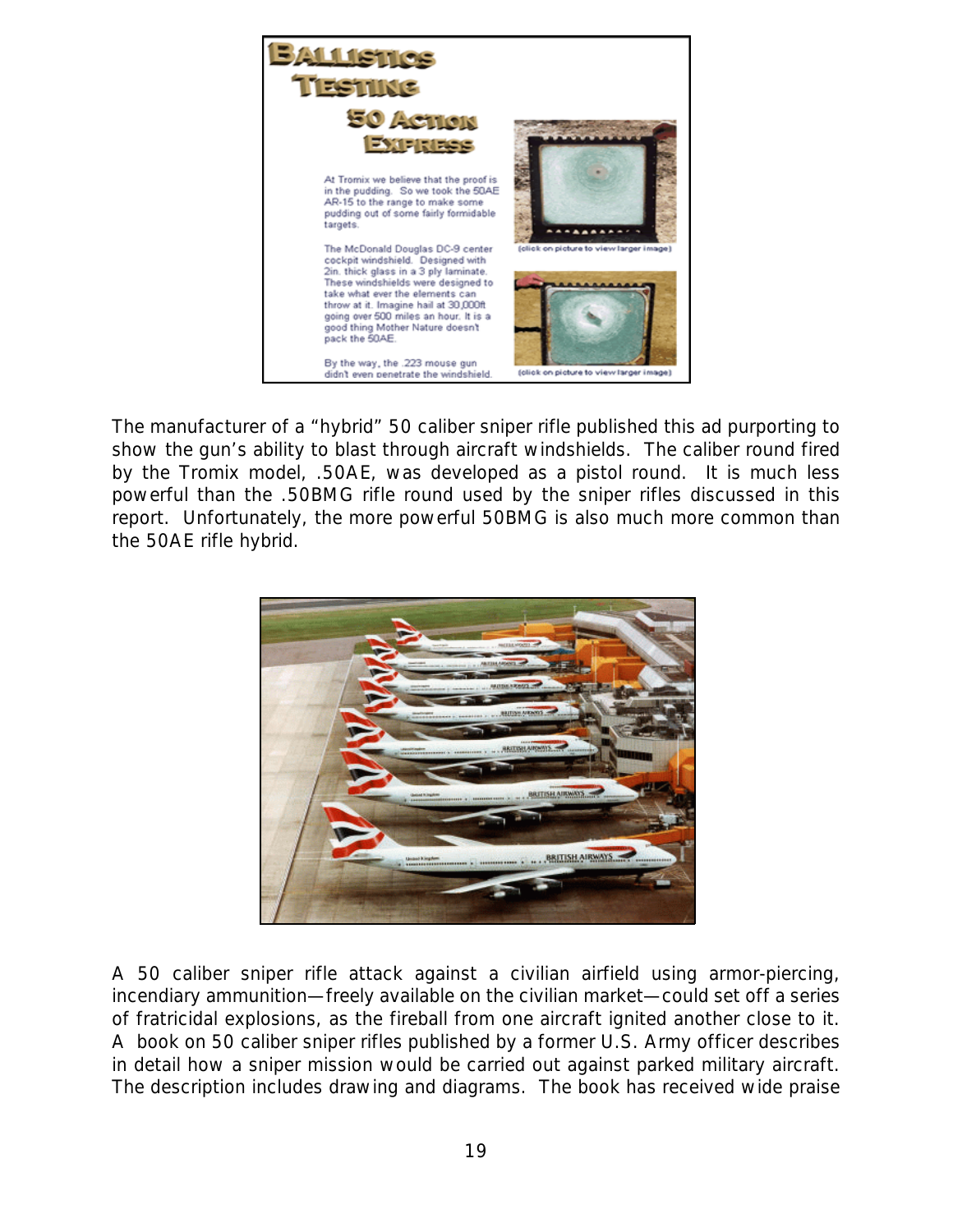

The manufacturer of a "hybrid" 50 caliber sniper rifle published this ad purporting to show the gun's ability to blast through aircraft windshields. The caliber round fired by the Tromix model, .50AE, was developed as a pistol round. It is much less powerful than the .50BMG rifle round used by the sniper rifles discussed in this report. Unfortunately, the more powerful 50BMG is also much more common than the 50AE rifle hybrid.



A 50 caliber sniper rifle attack against a civilian airfield using armor-piercing, incendiary ammunition—freely available on the civilian market—could set off a series of fratricidal explosions, as the fireball from one aircraft ignited another close to it. A book on 50 caliber sniper rifles published by a former U.S. Army officer describes in detail how a sniper mission would be carried out against parked military aircraft. The description includes drawing and diagrams. The book has received wide praise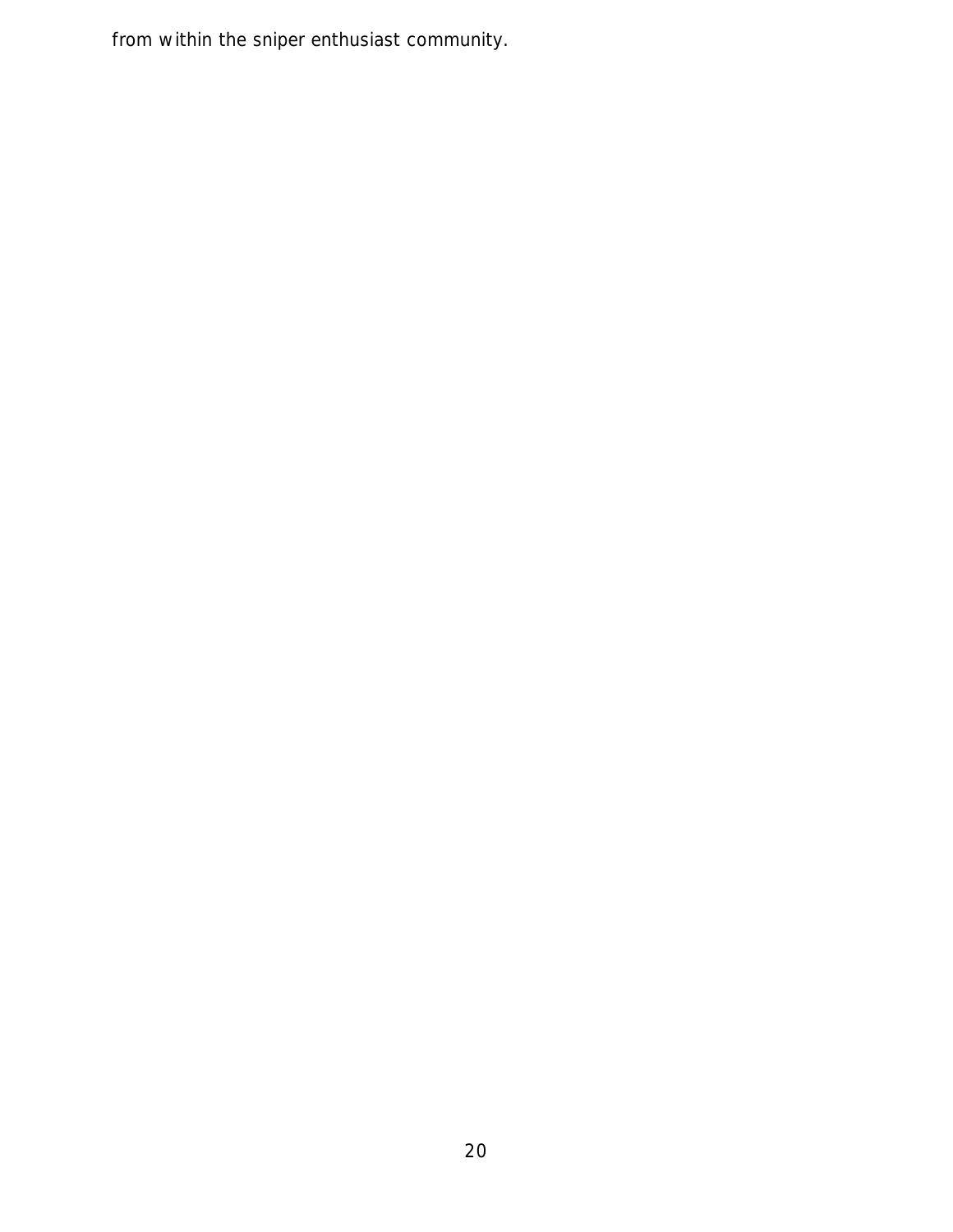from within the sniper enthusiast community.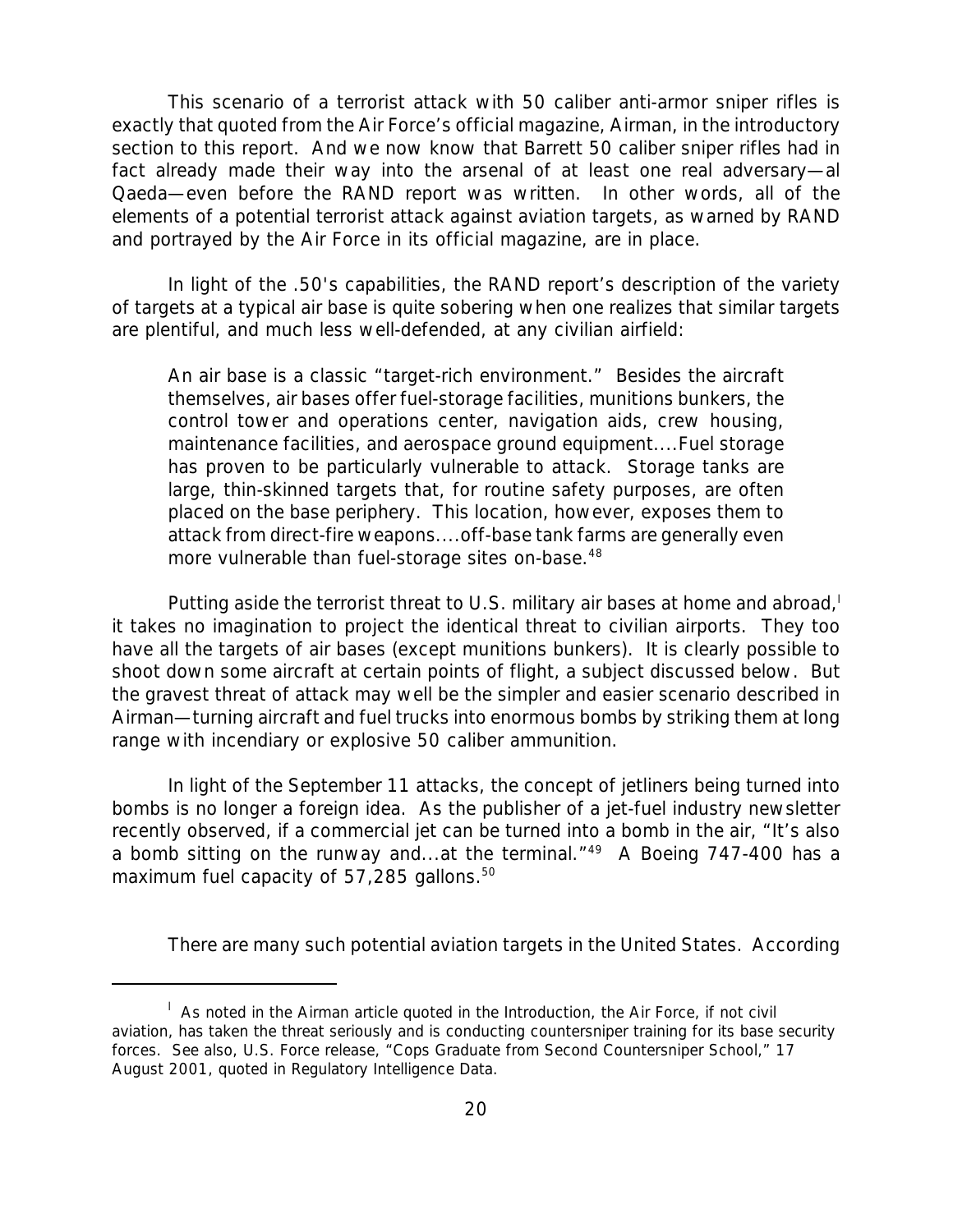This scenario of a terrorist attack with 50 caliber anti-armor sniper rifles is exactly that quoted from the Air Force's official magazine, *Airman*, in the introductory section to this report. And we now know that Barrett 50 caliber sniper rifles had in fact already made their way into the arsenal of at least one real adversary*—*al Qaeda—even before the RAND report was written. In other words, all of the elements of a potential terrorist attack against aviation targets, as warned by RAND and portrayed by the Air Force in its official magazine, are in place.

In light of the .50's capabilities, the RAND report's description of the variety of targets at a typical air base is quite sobering when one realizes that similar targets are plentiful, and much less well-defended, at any civilian airfield:

An air base is a classic "target-rich environment." Besides the aircraft themselves, air bases offer fuel-storage facilities, munitions bunkers, the control tower and operations center, navigation aids, crew housing, maintenance facilities, and aerospace ground equipment....Fuel storage has proven to be particularly vulnerable to attack. Storage tanks are large, thin-skinned targets that, for routine safety purposes, are often placed on the base periphery. This location, however, exposes them to attack from direct-fire weapons....off-base tank farms are generally even more vulnerable than fuel-storage sites on-base.<sup>48</sup>

Putting aside the terrorist threat to U.S. military air bases at home and abroad, it takes no imagination to project the identical threat to civilian airports. They too have all the targets of air bases (except munitions bunkers). It is clearly possible to shoot down some aircraft at certain points of flight, a subject discussed below. But the gravest threat of attack may well be the simpler and easier scenario described in *Airman*—turning aircraft and fuel trucks into enormous bombs by striking them at long range with incendiary or explosive 50 caliber ammunition.

In light of the September 11 attacks, the concept of jetliners being turned into bombs is no longer a foreign idea. As the publisher of a jet-fuel industry newsletter recently observed, if a commercial jet can be turned into a bomb in the air, "It's also a bomb sitting on the runway and...at the terminal."<sup>49</sup> A Boeing 747-400 has a maximum fuel capacity of 57,285 gallons.<sup>50</sup>

There are many such potential aviation targets in the United States. According

<sup>&</sup>lt;sup>1</sup> As noted in the *Airman* article quoted in the Introduction, the Air Force, if not civil aviation, has taken the threat seriously and is conducting countersniper training for its base security forces. See also, U.S. Force release, "Cops Graduate from Second Countersniper School," 17 August 2001, quoted in *Regulatory Intelligence Data.*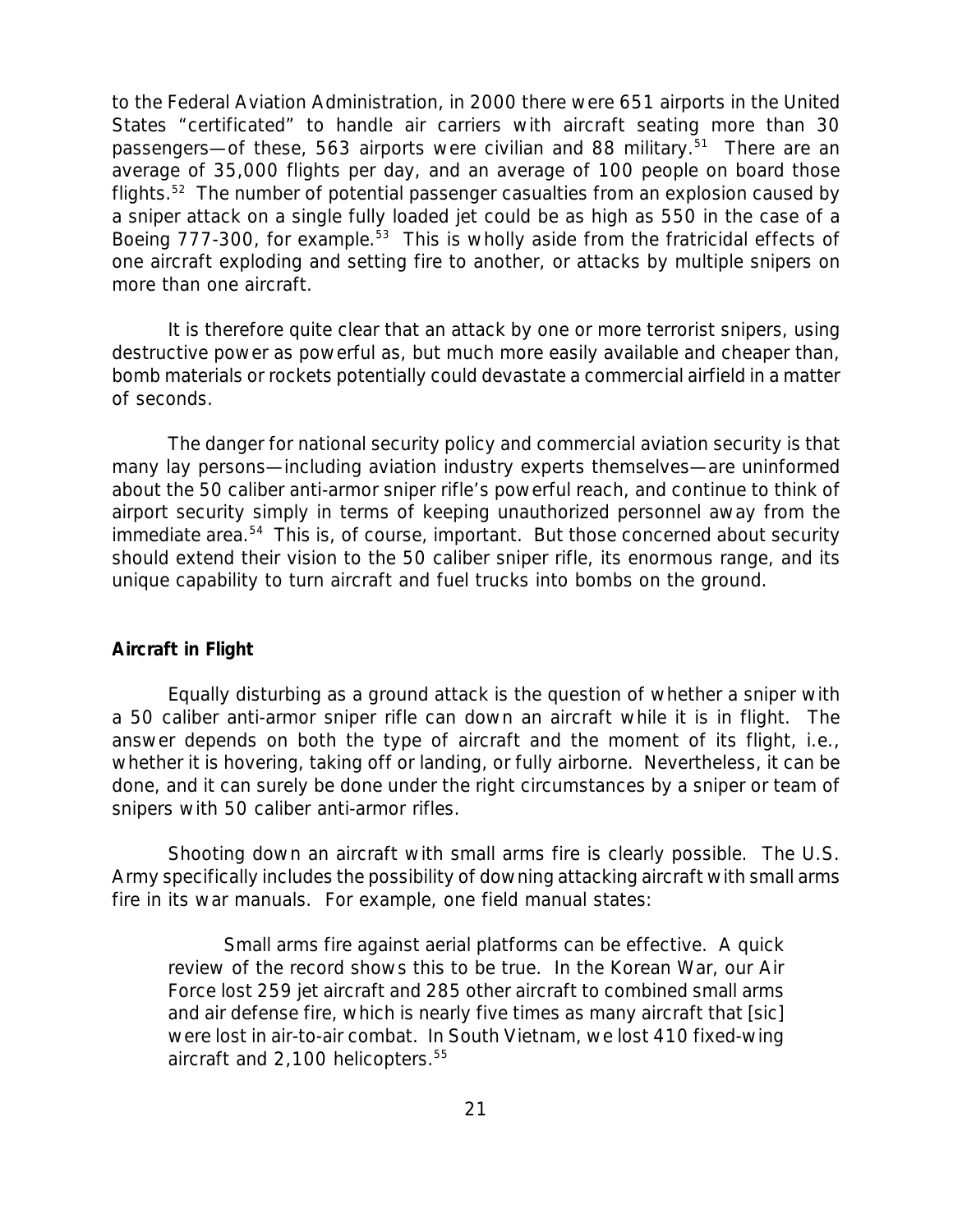to the Federal Aviation Administration, in 2000 there were 651 airports in the United States "certificated" to handle air carriers with aircraft seating more than 30 passengers—of these, 563 airports were civilian and 88 military.<sup>51</sup> There are an average of 35,000 flights per day, and an average of 100 people on board those flights.<sup>52</sup> The number of potential passenger casualties from an explosion caused by a sniper attack on a single fully loaded jet could be as high as 550 in the case of a Boeing 777-300, for example.<sup>53</sup> This is wholly aside from the fratricidal effects of one aircraft exploding and setting fire to another, or attacks by multiple snipers on more than one aircraft.

It is therefore quite clear that an attack by one or more terrorist snipers, using destructive power as powerful as, but much more easily available and cheaper than, bomb materials or rockets potentially could devastate a commercial airfield in a matter of seconds.

The danger for national security policy and commercial aviation security is that many lay persons—including aviation industry experts themselves—are uninformed about the 50 caliber anti-armor sniper rifle's powerful reach, and continue to think of airport security simply in terms of keeping unauthorized personnel away from the immediate area.<sup>54</sup> This is, of course, important. But those concerned about security should extend their vision to the 50 caliber sniper rifle, its enormous range, and its unique capability to turn aircraft and fuel trucks into bombs on the ground.

#### *Aircraft in Flight*

Equally disturbing as a ground attack is the question of whether a sniper with a 50 caliber anti-armor sniper rifle can down an aircraft while it is in flight. The answer depends on both the type of aircraft and the moment of its flight, i.e., whether it is hovering, taking off or landing, or fully airborne. Nevertheless, it can be done, and it can surely be done under the right circumstances by a sniper or team of snipers with 50 caliber anti-armor rifles.

Shooting down an aircraft with small arms fire is clearly possible. The U.S. Army specifically includes the possibility of downing attacking aircraft with small arms fire in its war manuals. For example, one field manual states:

Small arms fire against aerial platforms can be effective. A quick review of the record shows this to be true. In the Korean War, our Air Force lost 259 jet aircraft and 285 other aircraft to combined small arms and air defense fire, which is nearly five times as many aircraft that [sic] were lost in air-to-air combat. In South Vietnam, we lost 410 fixed-wing aircraft and  $2,100$  helicopters.<sup>55</sup>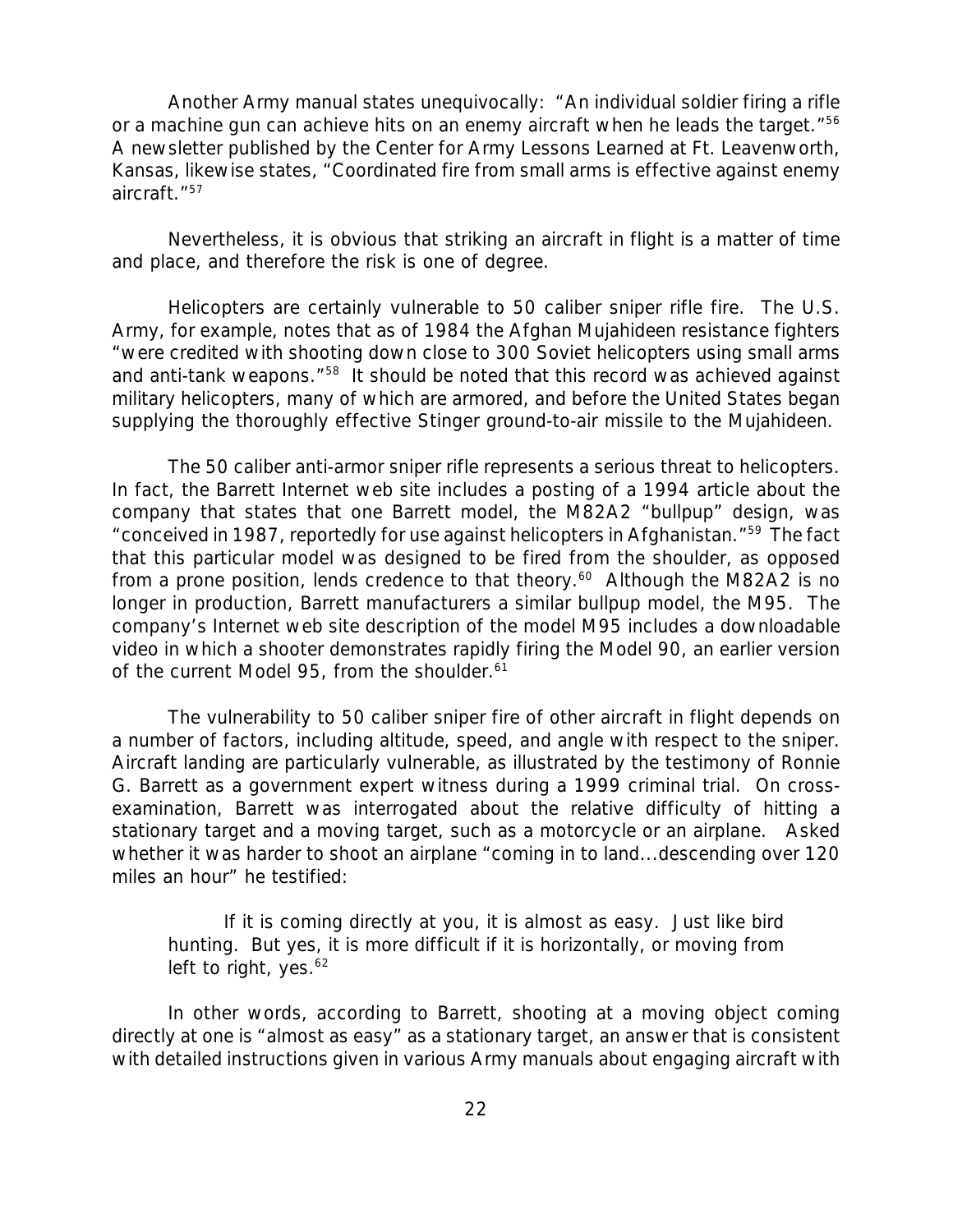Another Army manual states unequivocally: "An individual soldier firing a rifle or a machine gun can achieve hits on an enemy aircraft when he leads the target."<sup>56</sup> A newsletter published by the Center for Army Lessons Learned at Ft. Leavenworth, Kansas, likewise states, "Coordinated fire from small arms is effective against enemy aircraft."<sup>57</sup>

Nevertheless, it is obvious that striking an aircraft in flight is a matter of time and place, and therefore the risk is one of degree.

Helicopters are certainly vulnerable to 50 caliber sniper rifle fire. The U.S. Army, for example, notes that as of 1984 the Afghan Mujahideen resistance fighters "were credited with shooting down close to 300 Soviet helicopters using small arms and anti-tank weapons."<sup>58</sup> It should be noted that this record was achieved against military helicopters, many of which are armored, and before the United States began supplying the thoroughly effective Stinger ground-to-air missile to the Mujahideen.

The 50 caliber anti-armor sniper rifle represents a serious threat to helicopters. In fact, the Barrett Internet web site includes a posting of a 1994 article about the company that states that one Barrett model, the M82A2 "bullpup" design, was "conceived in 1987, reportedly for use against helicopters in Afghanistan."<sup>59</sup> The fact that this particular model was designed to be fired from the shoulder, as opposed from a prone position, lends credence to that theory.<sup>60</sup> Although the M82A2 is no longer in production, Barrett manufacturers a similar bullpup model, the M95. The company's Internet web site description of the model M95 includes a downloadable video in which a shooter demonstrates rapidly firing the Model 90, an earlier version of the current Model 95, from the shoulder.<sup>61</sup>

The vulnerability to 50 caliber sniper fire of other aircraft in flight depends on a number of factors, including altitude, speed, and angle with respect to the sniper. Aircraft landing are particularly vulnerable, as illustrated by the testimony of Ronnie G. Barrett as a government expert witness during a 1999 criminal trial. On crossexamination, Barrett was interrogated about the relative difficulty of hitting a stationary target and a moving target, such as a motorcycle or an airplane. Asked whether it was harder to shoot an airplane "coming in to land...descending over 120 miles an hour" he testified:

If it is coming directly at you, it is almost as easy. Just like bird hunting. But yes, it is more difficult if it is horizontally, or moving from left to right, yes. $62$ 

In other words, according to Barrett, shooting at a moving object coming directly at one is "almost as easy" as a stationary target, an answer that is consistent with detailed instructions given in various Army manuals about engaging aircraft with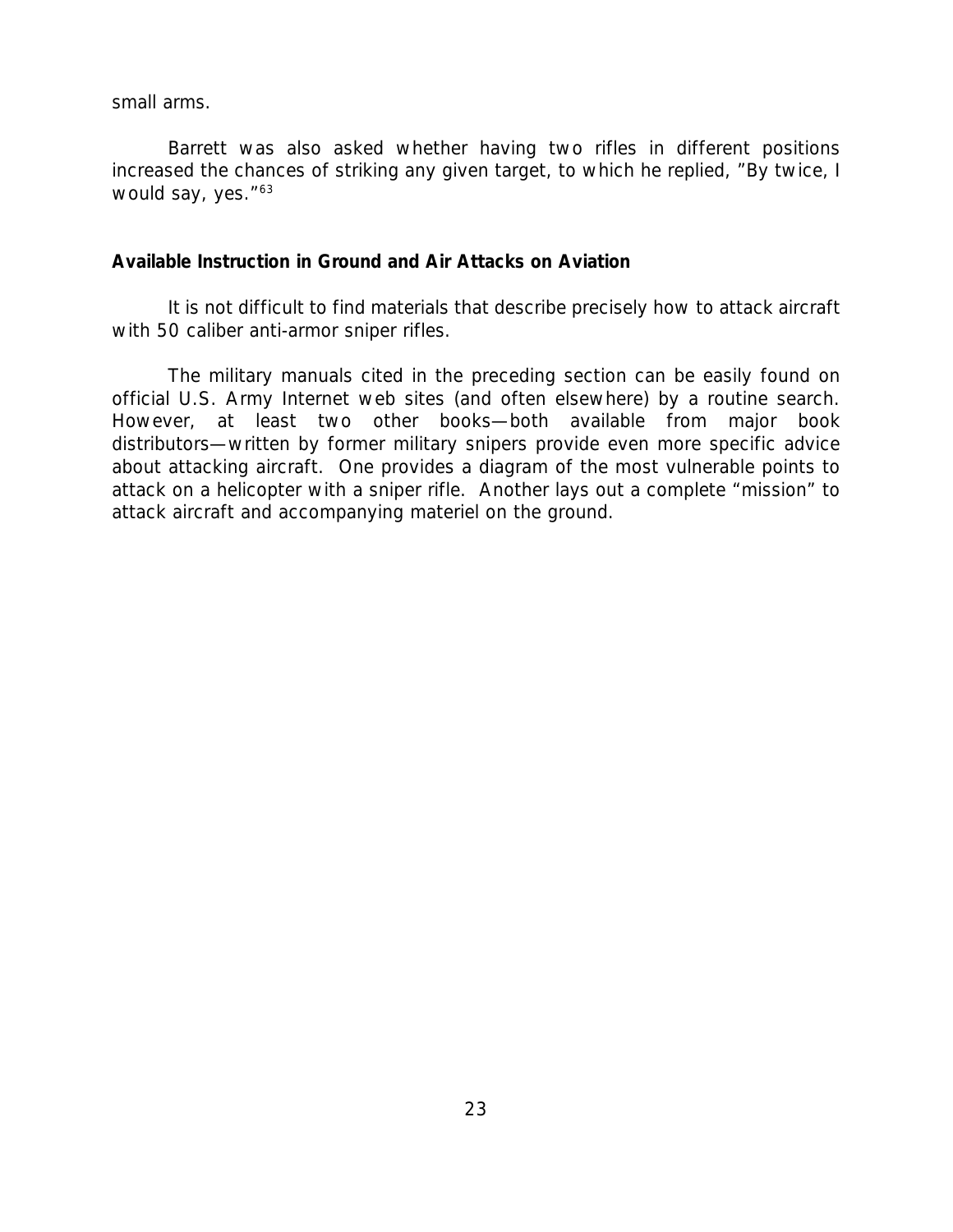small arms.

Barrett was also asked whether having two rifles in different positions increased the chances of striking any given target, to which he replied, "By twice, I would say, yes."<sup>63</sup>

#### *Available Instruction in Ground and Air Attacks on Aviation*

It is not difficult to find materials that describe precisely how to attack aircraft with 50 caliber anti-armor sniper rifles.

The military manuals cited in the preceding section can be easily found on official U.S. Army Internet web sites (and often elsewhere) by a routine search. However, at least two other books—both available from major book distributors—written by former military snipers provide even more specific advice about attacking aircraft. One provides a diagram of the most vulnerable points to attack on a helicopter with a sniper rifle. Another lays out a complete "mission" to attack aircraft and accompanying materiel on the ground.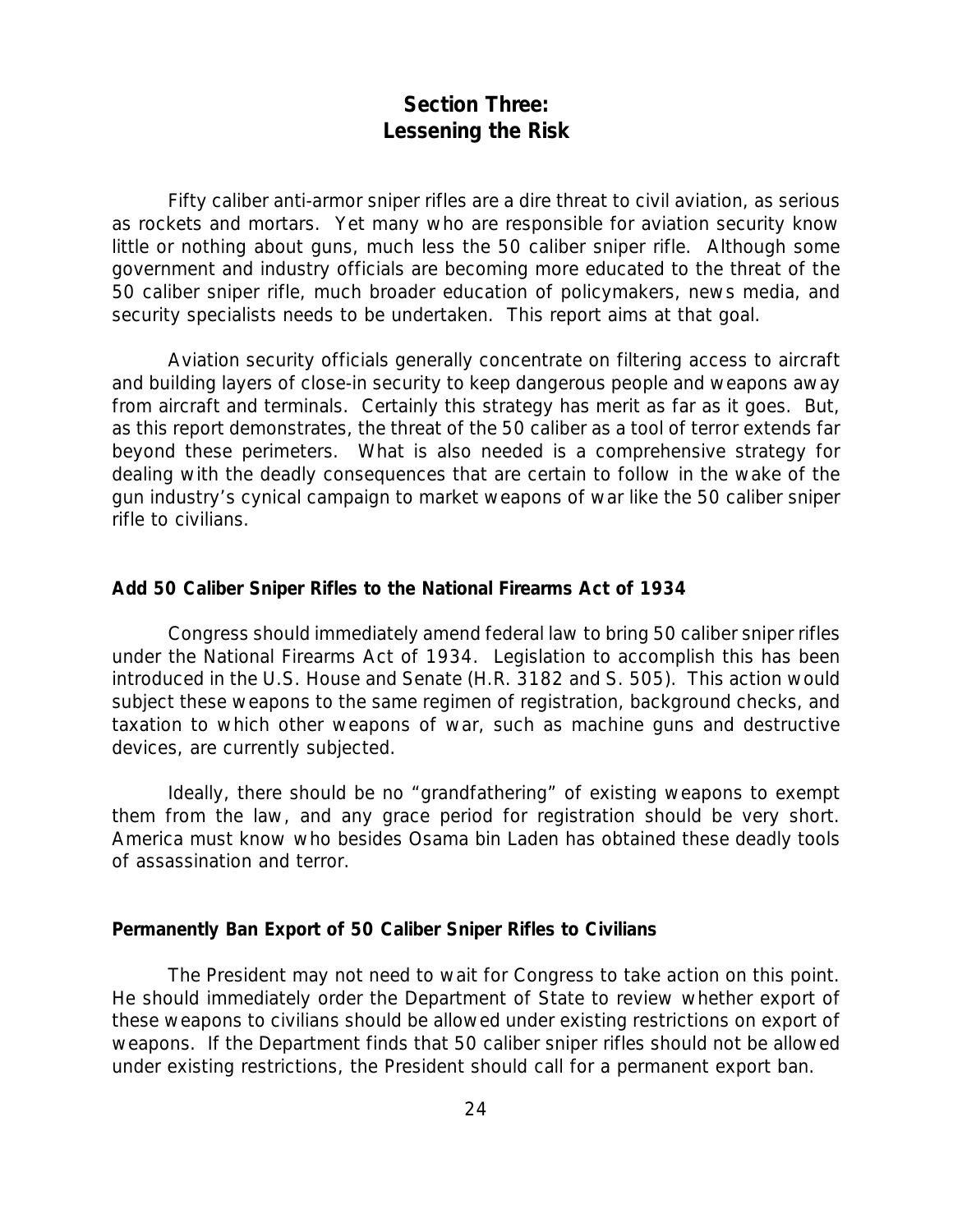# **Section Three: Lessening the Risk**

Fifty caliber anti-armor sniper rifles are a dire threat to civil aviation, as serious as rockets and mortars. Yet many who are responsible for aviation security know little or nothing about guns, much less the 50 caliber sniper rifle. Although some government and industry officials are becoming more educated to the threat of the 50 caliber sniper rifle, much broader education of policymakers, news media, and security specialists needs to be undertaken. This report aims at that goal.

Aviation security officials generally concentrate on filtering access to aircraft and building layers of close-in security to keep dangerous people and weapons away from aircraft and terminals. Certainly this strategy has merit as far as it goes. But, as this report demonstrates, the threat of the 50 caliber as a tool of terror extends far beyond these perimeters. What is also needed is a comprehensive strategy for dealing with the deadly consequences that are certain to follow in the wake of the gun industry's cynical campaign to market weapons of war like the 50 caliber sniper rifle to civilians.

#### *Add 50 Caliber Sniper Rifles to the National Firearms Act of 1934*

Congress should immediately amend federal law to bring 50 caliber sniper rifles under the National Firearms Act of 1934. Legislation to accomplish this has been introduced in the U.S. House and Senate (H.R. 3182 and S. 505). This action would subject these weapons to the same regimen of registration, background checks, and taxation to which other weapons of war, such as machine guns and destructive devices, are currently subjected.

Ideally, there should be no "grandfathering" of existing weapons to exempt them from the law, and any grace period for registration should be very short. America must know who besides Osama bin Laden has obtained these deadly tools of assassination and terror.

#### *Permanently Ban Export of 50 Caliber Sniper Rifles to Civilians*

The President may not need to wait for Congress to take action on this point. He should immediately order the Department of State to review whether export of these weapons to civilians should be allowed under existing restrictions on export of weapons. If the Department finds that 50 caliber sniper rifles should not be allowed under existing restrictions, the President should call for a permanent export ban.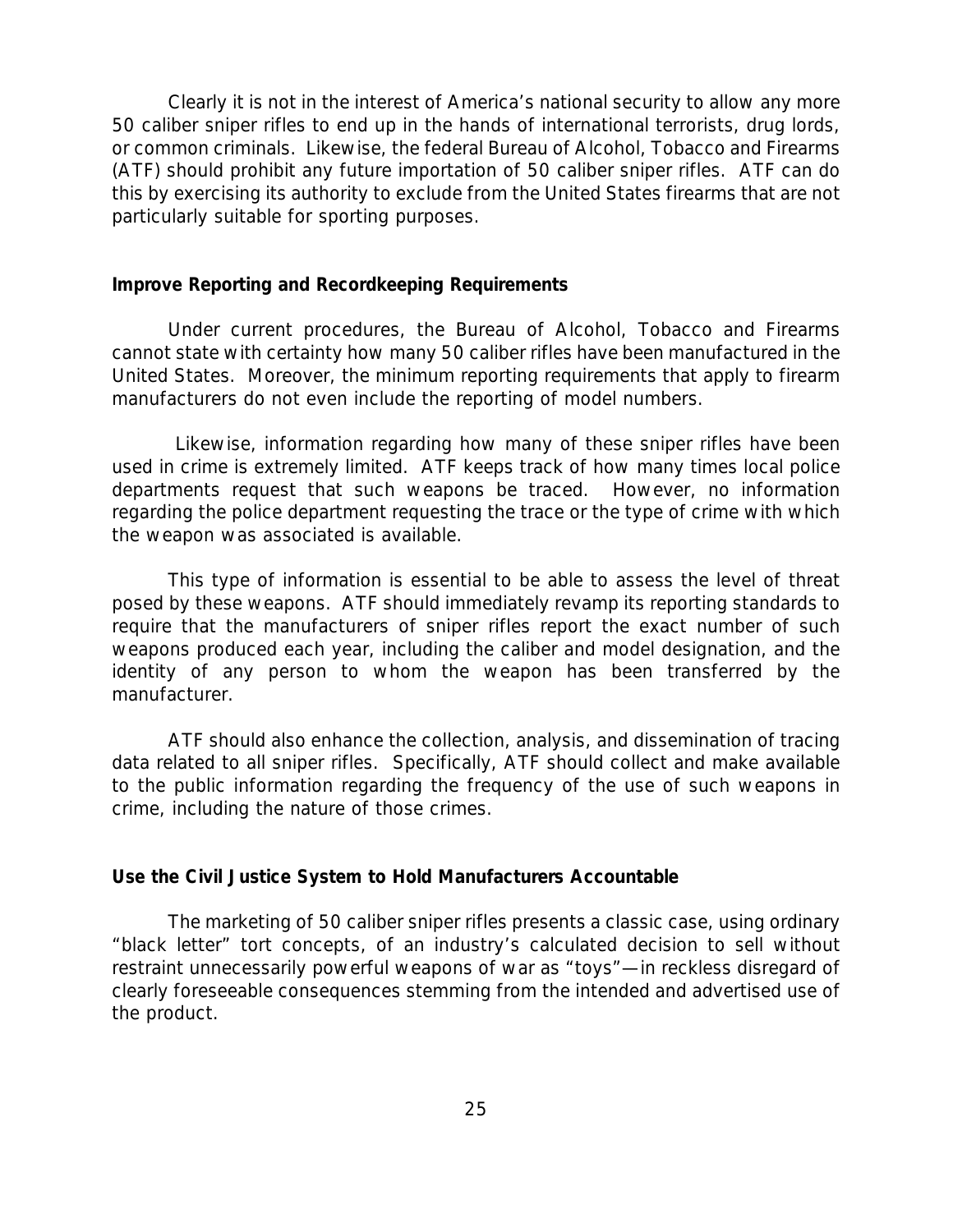Clearly it is not in the interest of America's national security to allow any more 50 caliber sniper rifles to end up in the hands of international terrorists, drug lords, or common criminals. Likewise, the federal Bureau of Alcohol, Tobacco and Firearms (ATF) should prohibit any future importation of 50 caliber sniper rifles. ATF can do this by exercising its authority to exclude from the United States firearms that are not particularly suitable for sporting purposes.

#### *Improve Reporting and Recordkeeping Requirements*

Under current procedures, the Bureau of Alcohol, Tobacco and Firearms cannot state with certainty how many 50 caliber rifles have been manufactured in the United States. Moreover, the minimum reporting requirements that apply to firearm manufacturers do not even include the reporting of model numbers.

 Likewise, information regarding how many of these sniper rifles have been used in crime is extremely limited. ATF keeps track of how many times local police departments request that such weapons be traced. However, no information regarding the police department requesting the trace or the type of crime with which the weapon was associated is available.

This type of information is essential to be able to assess the level of threat posed by these weapons. ATF should immediately revamp its reporting standards to require that the manufacturers of sniper rifles report the exact number of such weapons produced each year, including the caliber and model designation, and the identity of any person to whom the weapon has been transferred by the manufacturer.

ATF should also enhance the collection, analysis, and dissemination of tracing data related to all sniper rifles. Specifically, ATF should collect and make available to the public information regarding the frequency of the use of such weapons in crime, including the nature of those crimes.

#### *Use the Civil Justice System to Hold Manufacturers Accountable*

The marketing of 50 caliber sniper rifles presents a classic case, using ordinary "black letter" tort concepts, of an industry's calculated decision to sell without restraint unnecessarily powerful weapons of war as "toys"—in reckless disregard of clearly foreseeable consequences stemming from the intended and advertised use of the product.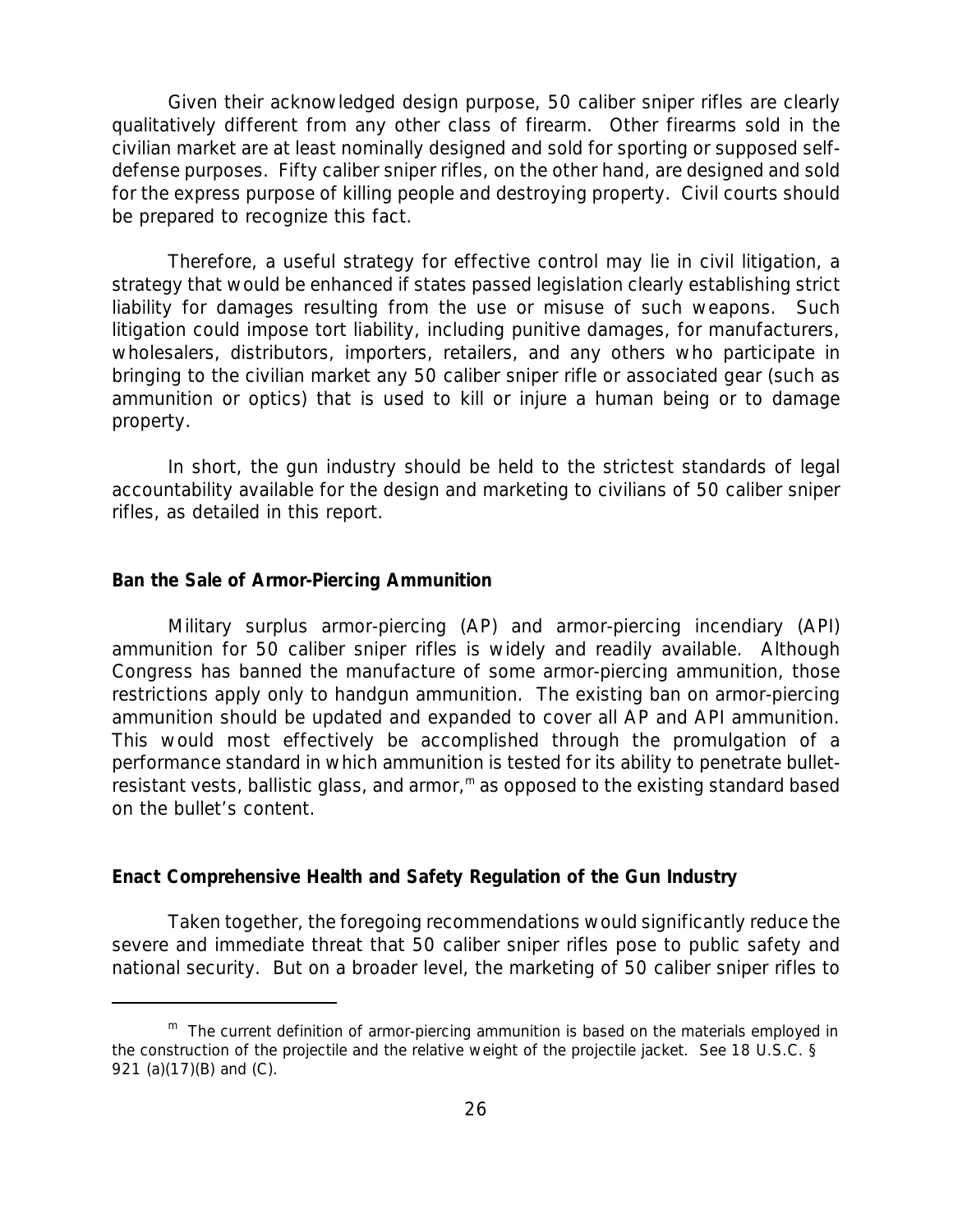Given their acknowledged design purpose, 50 caliber sniper rifles are clearly *qualitatively* different from any other class of firearm. Other firearms sold in the civilian market are at least nominally designed and sold for sporting or supposed selfdefense purposes. Fifty caliber sniper rifles, on the other hand, are designed and sold for the express purpose of killing people and destroying property. Civil courts should be prepared to recognize this fact.

Therefore, a useful strategy for effective control may lie in civil litigation, a strategy that would be enhanced if states passed legislation clearly establishing strict liability for damages resulting from the use or misuse of such weapons. Such litigation could impose tort liability, including punitive damages, for manufacturers, wholesalers, distributors, importers, retailers, and any others who participate in bringing to the civilian market any 50 caliber sniper rifle or associated gear (such as ammunition or optics) that is used to kill or injure a human being or to damage property.

In short, the gun industry should be held to the strictest standards of legal accountability available for the design and marketing to civilians of 50 caliber sniper rifles, as detailed in this report.

#### *Ban the Sale of Armor-Piercing Ammunition*

Military surplus armor-piercing (AP) and armor-piercing incendiary (API) ammunition for 50 caliber sniper rifles is widely and readily available. Although Congress has banned the manufacture of some armor-piercing ammunition, those restrictions apply only to handgun ammunition. The existing ban on armor-piercing ammunition should be updated and expanded to cover all AP and API ammunition. This would most effectively be accomplished through the promulgation of a performance standard in which ammunition is tested for its ability to *penetrate* bulletresistant vests, ballistic glass, and armor,<sup>m</sup> as opposed to the existing standard based on the bullet's *content*.

#### *Enact Comprehensive Health and Safety Regulation of the Gun Industry*

Taken together, the foregoing recommendations would significantly reduce the severe and immediate threat that 50 caliber sniper rifles pose to public safety and national security. But on a broader level, the marketing of 50 caliber sniper rifles to

 $<sup>m</sup>$  The current definition of armor-piercing ammunition is based on the materials employed in</sup> the construction of the projectile and the relative weight of the projectile jacket. See 18 U.S.C. § 921 (a)(17)(B) and (C).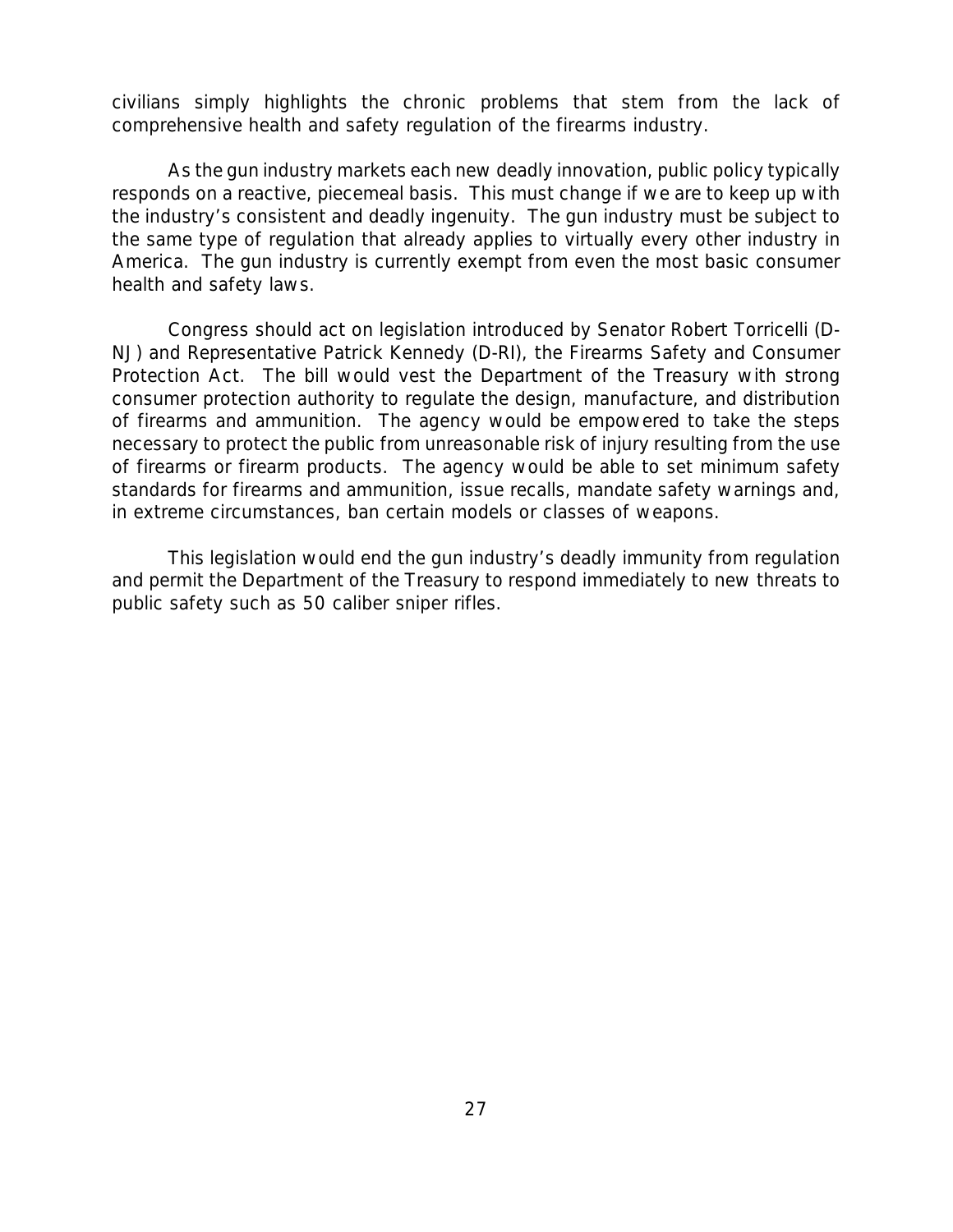civilians simply highlights the chronic problems that stem from the lack of comprehensive health and safety regulation of the firearms industry.

As the gun industry markets each new deadly innovation, public policy typically responds on a reactive, piecemeal basis. This must change if we are to keep up with the industry's consistent and deadly ingenuity. *The gun industry must be subject to the same type of regulation that already applies to virtually every other industry in America.* The gun industry is currently exempt from even the most basic consumer health and safety laws.

Congress should act on legislation introduced by Senator Robert Torricelli (D-NJ) and Representative Patrick Kennedy (D-RI), the Firearms Safety and Consumer Protection Act. The bill would vest the Department of the Treasury with strong consumer protection authority to regulate the design, manufacture, and distribution of firearms and ammunition. The agency would be empowered to take the steps necessary to protect the public from *unreasonable* risk of injury resulting from the use of firearms or firearm products. The agency would be able to set minimum safety standards for firearms and ammunition, issue recalls, mandate safety warnings and, in extreme circumstances, ban certain models or classes of weapons.

This legislation would end the gun industry's deadly immunity from regulation and permit the Department of the Treasury to respond immediately to new threats to public safety such as 50 caliber sniper rifles.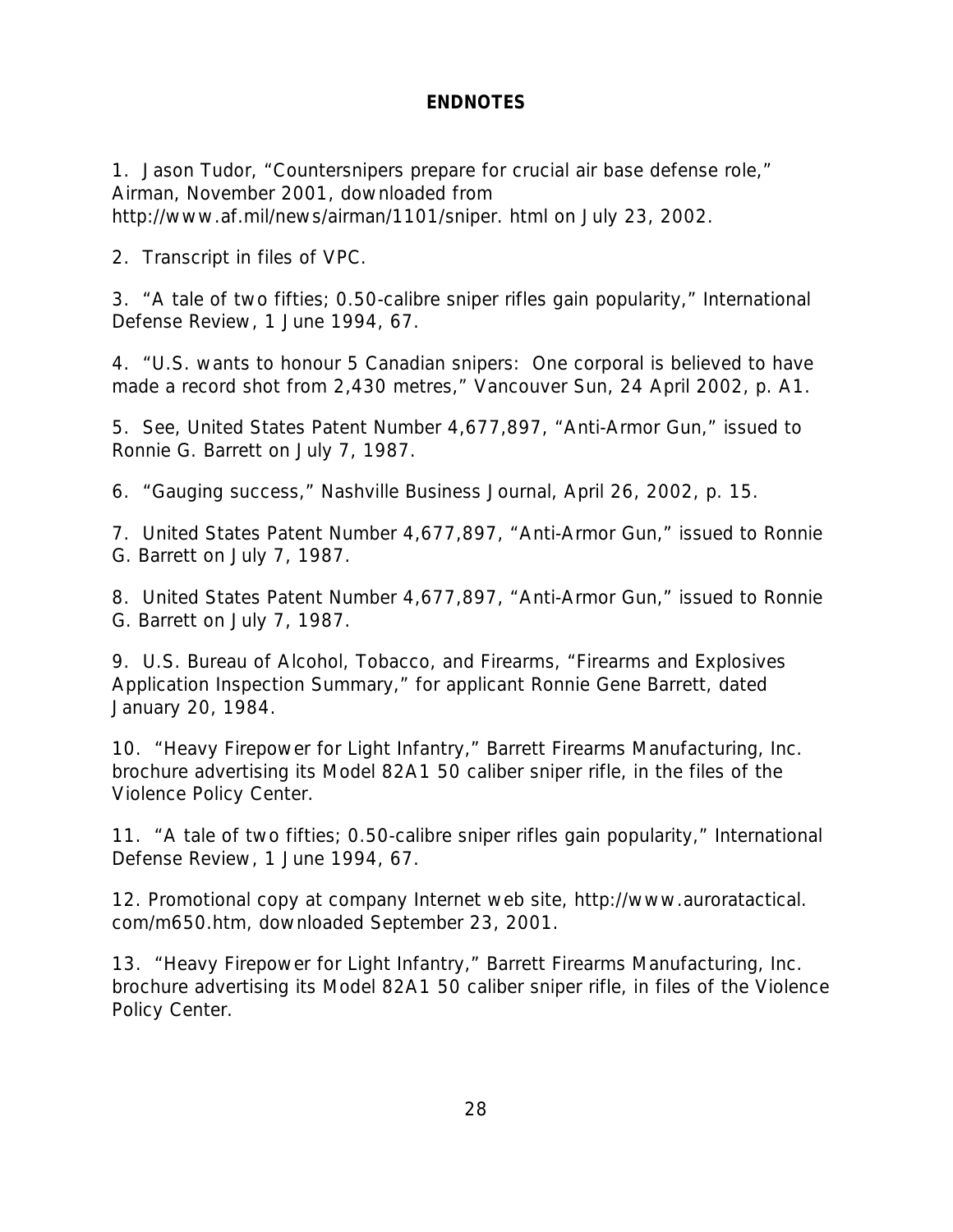# **ENDNOTES**

1. Jason Tudor, "Countersnipers prepare for crucial air base defense role," *Airman*, November 2001, downloaded from http://www.af.mil/news/airman/1101/sniper. html on July 23, 2002.

2. Transcript in files of VPC.

3. "A tale of two fifties; 0.50-calibre sniper rifles gain popularity," *International Defense Review*, 1 June 1994, 67.

4. "U.S. wants to honour 5 Canadian snipers: One corporal is believed to have made a record shot from 2,430 metres," *Vancouver Sun*, 24 April 2002, p. A1.

5. See, United States Patent Number 4,677,897, "Anti-Armor Gun," issued to Ronnie G. Barrett on July 7, 1987.

6. "Gauging success," *Nashville Business Journal*, April 26, 2002, p. 15.

7. United States Patent Number 4,677,897, "Anti-Armor Gun," issued to Ronnie G. Barrett on July 7, 1987.

8. United States Patent Number 4,677,897, "Anti-Armor Gun," issued to Ronnie G. Barrett on July 7, 1987.

9. U.S. Bureau of Alcohol, Tobacco, and Firearms, "Firearms and Explosives Application Inspection Summary," for applicant Ronnie Gene Barrett, dated January 20, 1984.

10. "Heavy Firepower for Light Infantry," Barrett Firearms Manufacturing, Inc. brochure advertising its Model 82A1 50 caliber sniper rifle, in the files of the Violence Policy Center.

11. "A tale of two fifties; 0.50-calibre sniper rifles gain popularity," *International Defense Review*, 1 June 1994, 67.

12. Promotional copy at company Internet web site, http://www.auroratactical. com/m650.htm, downloaded September 23, 2001.

13. "Heavy Firepower for Light Infantry," Barrett Firearms Manufacturing, Inc. brochure advertising its Model 82A1 50 caliber sniper rifle, in files of the Violence Policy Center.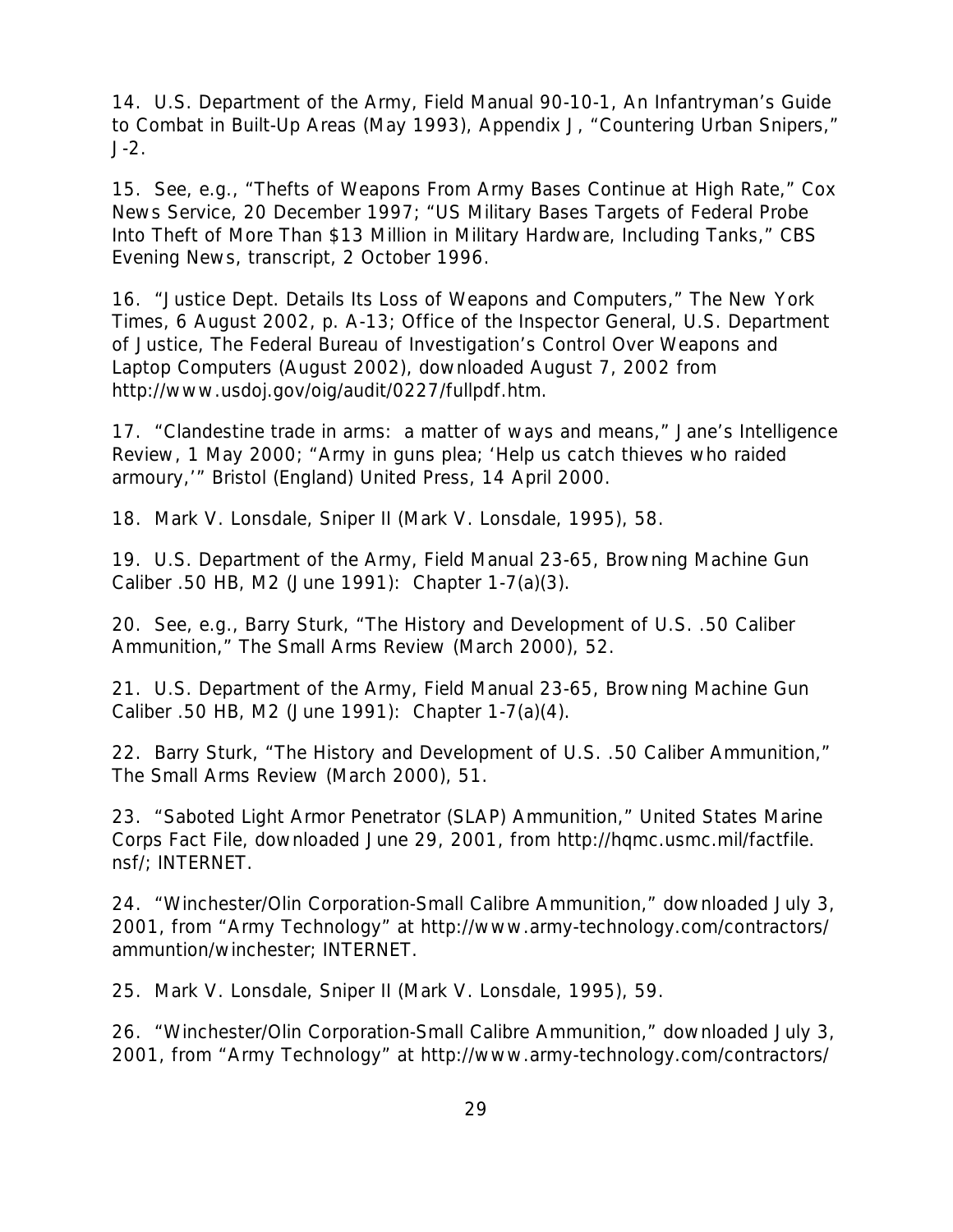14. U.S. Department of the Army, Field Manual 90-10-1, *An Infantryman's Guide to Combat in Built-Up Areas* (May 1993), Appendix J, "Countering Urban Snipers," J-2.

15. See, e.g., "Thefts of Weapons From Army Bases Continue at High Rate," *Cox News Service*, 20 December 1997; "US Military Bases Targets of Federal Probe Into Theft of More Than \$13 Million in Military Hardware, Including Tanks," *CBS Evening News*, transcript, 2 October 1996.

16. "Justice Dept. Details Its Loss of Weapons and Computers," *The New York Times*, 6 August 2002, p. A-13; Office of the Inspector General, U.S. Department of Justice, *The Federal Bureau of Investigation's Control Over Weapons and Laptop Computers* (August 2002), downloaded August 7, 2002 from http://www.usdoj.gov/oig/audit/0227/fullpdf.htm.

17. "Clandestine trade in arms: a matter of ways and means," *Jane's Intelligence Review*, 1 May 2000; "Army in guns plea; 'Help us catch thieves who raided armoury,'" *Bristol (England) United Press*, 14 April 2000.

18. Mark V. Lonsdale, *Sniper II* (Mark V. Lonsdale, 1995), 58.

19. U.S. Department of the Army, Field Manual 23-65, *Browning Machine Gun Caliber .50 HB, M2* (June 1991): Chapter 1-7(a)(3).

20. See, e.g., Barry Sturk, "The History and Development of U.S. .50 Caliber Ammunition," *The Small Arms Review* (March 2000), 52.

21. U.S. Department of the Army, Field Manual 23-65, *Browning Machine Gun Caliber .50 HB, M2* (June 1991): Chapter 1-7(a)(4).

22. Barry Sturk, "The History and Development of U.S. .50 Caliber Ammunition," *The Small Arms Review* (March 2000), 51.

23. "Saboted Light Armor Penetrator (SLAP) Ammunition," *United States Marine Corps Fact File*, downloaded June 29, 2001, from http://hqmc.usmc.mil/factfile. nsf/; INTERNET.

24. "Winchester/Olin Corporation-Small Calibre Ammunition," downloaded July 3, 2001, from "Army Technology" at http://www.army-technology.com/contractors/ ammuntion/winchester; INTERNET.

25. Mark V. Lonsdale, *Sniper II* (Mark V. Lonsdale, 1995), 59.

26. "Winchester/Olin Corporation-Small Calibre Ammunition," downloaded July 3, 2001, from "Army Technology" at http://www.army-technology.com/contractors/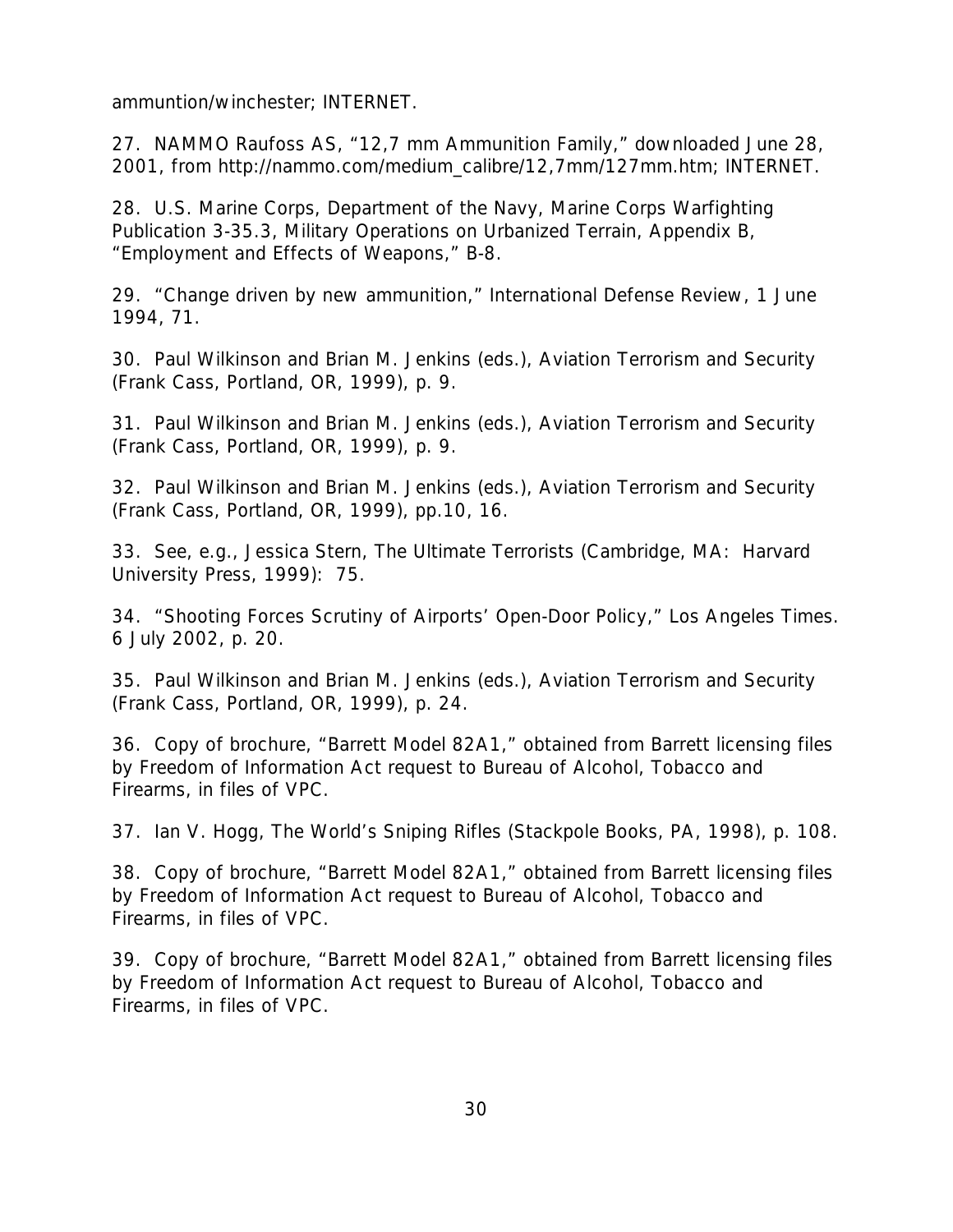ammuntion/winchester; INTERNET.

27. NAMMO Raufoss AS, "12,7 mm Ammunition Family," downloaded June 28, 2001, from http://nammo.com/medium\_calibre/12,7mm/127mm.htm; INTERNET.

28. U.S. Marine Corps, Department of the Navy, Marine Corps Warfighting Publication 3-35.3, *Military Operations on Urbanized Terrain*, Appendix B, "Employment and Effects of Weapons," B-8.

29. "Change driven by new ammunition," *International Defense Review*, 1 June 1994, 71.

30. Paul Wilkinson and Brian M. Jenkins (eds.), *Aviation Terrorism and Security* (Frank Cass, Portland, OR, 1999), p. 9.

31. Paul Wilkinson and Brian M. Jenkins (eds.), *Aviation Terrorism and Security* (Frank Cass, Portland, OR, 1999), p. 9.

32. Paul Wilkinson and Brian M. Jenkins (eds.), *Aviation Terrorism and Security* (Frank Cass, Portland, OR, 1999), pp.10, 16.

33. See, e.g., Jessica Stern, *The Ultimate Terrorists* (Cambridge, MA: Harvard University Press, 1999): 75.

34. "Shooting Forces Scrutiny of Airports' Open-Door Policy," *Los Angeles Times*. 6 July 2002, p. 20.

35. Paul Wilkinson and Brian M. Jenkins (eds.), *Aviation Terrorism and Security* (Frank Cass, Portland, OR, 1999), p. 24.

36. Copy of brochure, "Barrett Model 82A1," obtained from Barrett licensing files by Freedom of Information Act request to Bureau of Alcohol, Tobacco and Firearms, in files of VPC.

37. Ian V. Hogg, *The World's Sniping Rifles* (Stackpole Books, PA, 1998), p. 108.

38. Copy of brochure, "Barrett Model 82A1," obtained from Barrett licensing files by Freedom of Information Act request to Bureau of Alcohol, Tobacco and Firearms, in files of VPC.

39. Copy of brochure, "Barrett Model 82A1," obtained from Barrett licensing files by Freedom of Information Act request to Bureau of Alcohol, Tobacco and Firearms, in files of VPC.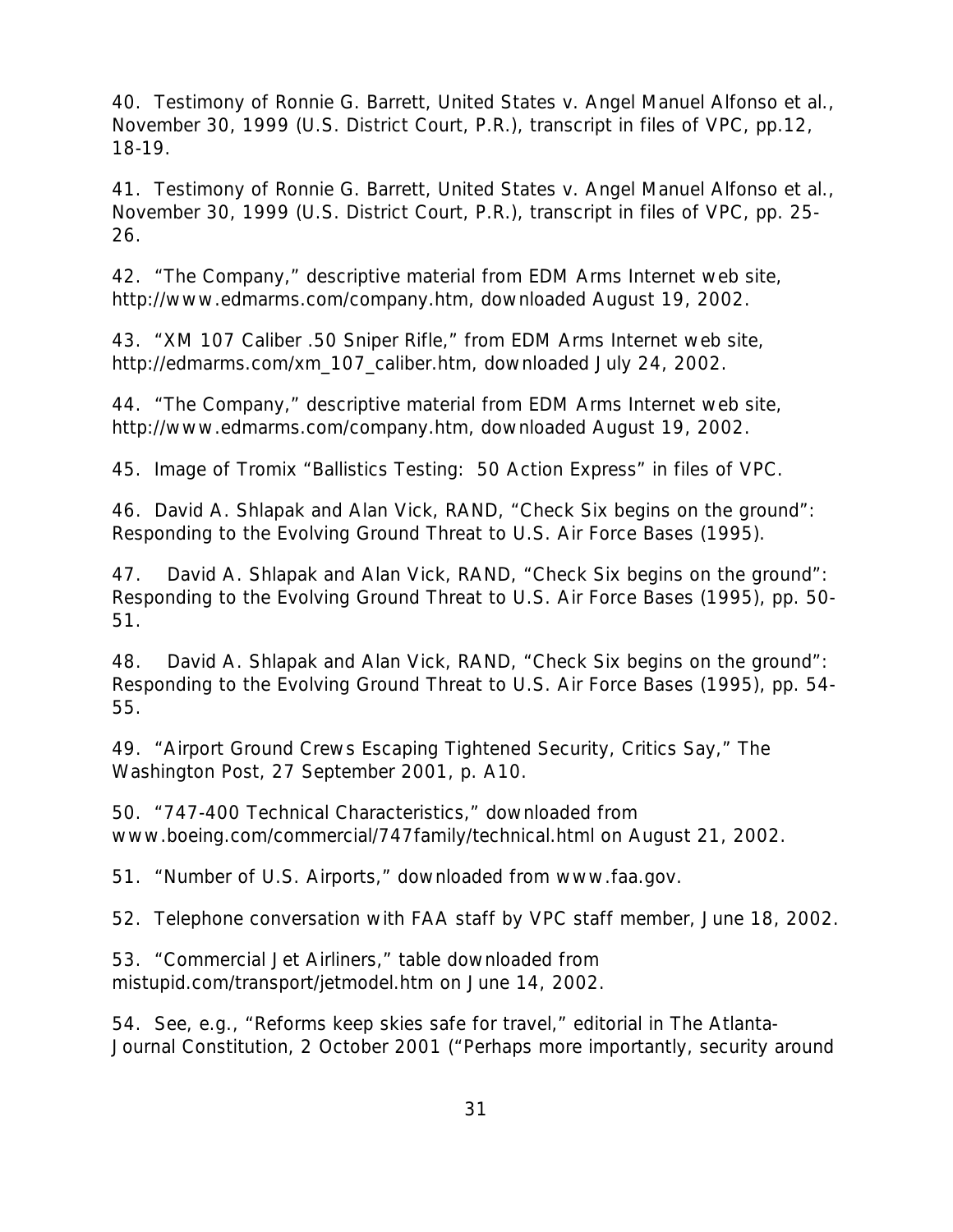40. Testimony of Ronnie G. Barrett, *United States v. Angel Manuel Alfonso et al.,* November 30, 1999 (U.S. District Court, P.R.), transcript in files of VPC, pp.12, 18-19.

41. Testimony of Ronnie G. Barrett, *United States v. Angel Manuel Alfonso et al.,* November 30, 1999 (U.S. District Court, P.R.), transcript in files of VPC, pp. 25- 26.

42. "The Company," descriptive material from EDM Arms Internet web site, http://www.edmarms.com/company.htm, downloaded August 19, 2002.

43. "XM 107 Caliber .50 Sniper Rifle," from EDM Arms Internet web site, http://edmarms.com/xm\_107\_caliber.htm, downloaded July 24, 2002.

44. "The Company," descriptive material from EDM Arms Internet web site, http://www.edmarms.com/company.htm, downloaded August 19, 2002.

45. Image of Tromix "Ballistics Testing: 50 Action Express" in files of VPC.

46. David A. Shlapak and Alan Vick, RAND, *"Check Six begins on the ground": Responding to the Evolving Ground Threat to U.S. Air Force Bases* (1995).

47. David A. Shlapak and Alan Vick, RAND, *"Check Six begins on the ground": Responding to the Evolving Ground Threat to U.S. Air Force Bases* (1995), pp. 50- 51.

48. David A. Shlapak and Alan Vick, RAND, *"Check Six begins on the ground": Responding to the Evolving Ground Threat to U.S. Air Force Bases* (1995), pp. 54- 55.

49. "Airport Ground Crews Escaping Tightened Security, Critics Say," *The Washington Post*, 27 September 2001, p. A10.

50. "747-400 Technical Characteristics," downloaded from www.boeing.com/commercial/747family/technical.html on August 21, 2002.

51. "Number of U.S. Airports," downloaded from www.faa.gov.

52. Telephone conversation with FAA staff by VPC staff member, June 18, 2002.

53. "Commercial Jet Airliners," table downloaded from mistupid.com/transport/jetmodel.htm on June 14, 2002.

54. See, e.g., "Reforms keep skies safe for travel," editorial in *The Atlanta-Journal Constitution*, 2 October 2001 ("Perhaps more importantly, security around